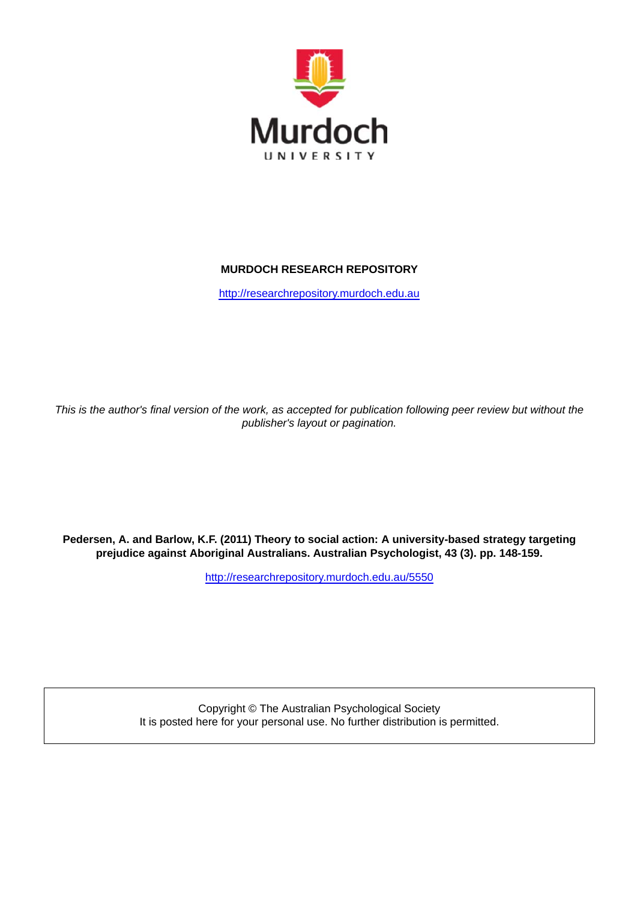

# **MURDOCH RESEARCH REPOSITORY**

http://researchrepository.murdoch.edu.au

*This is the author's final version of the work, as accepted for publication following peer review but without the publisher's layout or pagination.*

**Pedersen, A. and Barlow, K.F. (2011) Theory to social action: A university-based strategy targeting prejudice against Aboriginal Australians. Australian Psychologist, 43 (3). pp. 148-159.**

http://researchrepository.murdoch.edu.au/5550

Copyright © The Australian Psychological Society It is posted here for your personal use. No further distribution is permitted.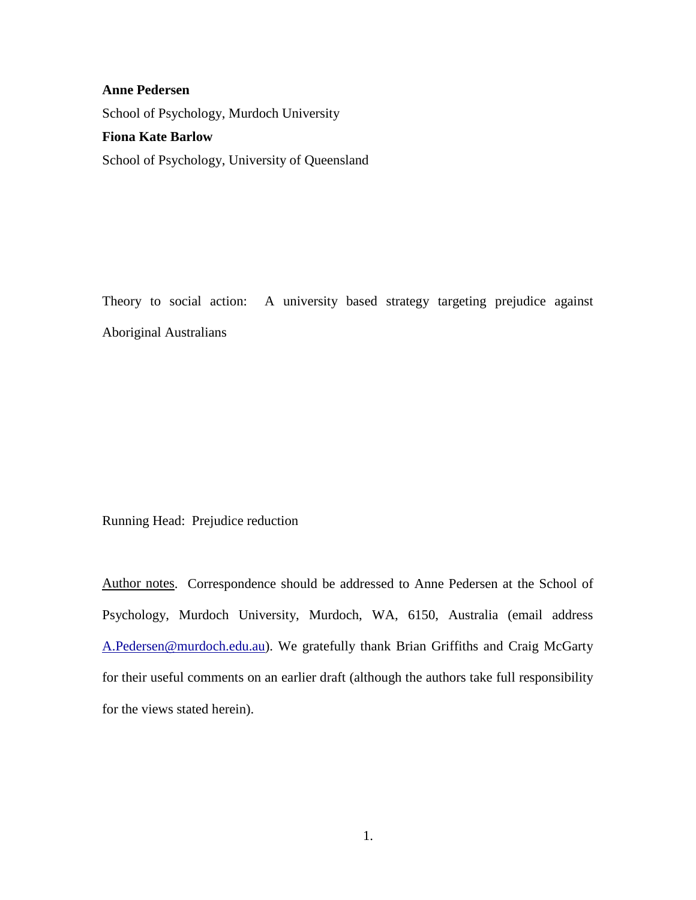# **Anne Pedersen** School of Psychology, Murdoch University **Fiona Kate Barlow**

School of Psychology, University of Queensland

Theory to social action: A university based strategy targeting prejudice against Aboriginal Australians

Running Head: Prejudice reduction

Author notes. Correspondence should be addressed to Anne Pedersen at the School of Psychology, Murdoch University, Murdoch, WA, 6150, Australia (email address [A.Pedersen@murdoch.edu.au\)](mailto:A.Pedersen@murdoch.edu.au). We gratefully thank Brian Griffiths and Craig McGarty for their useful comments on an earlier draft (although the authors take full responsibility for the views stated herein).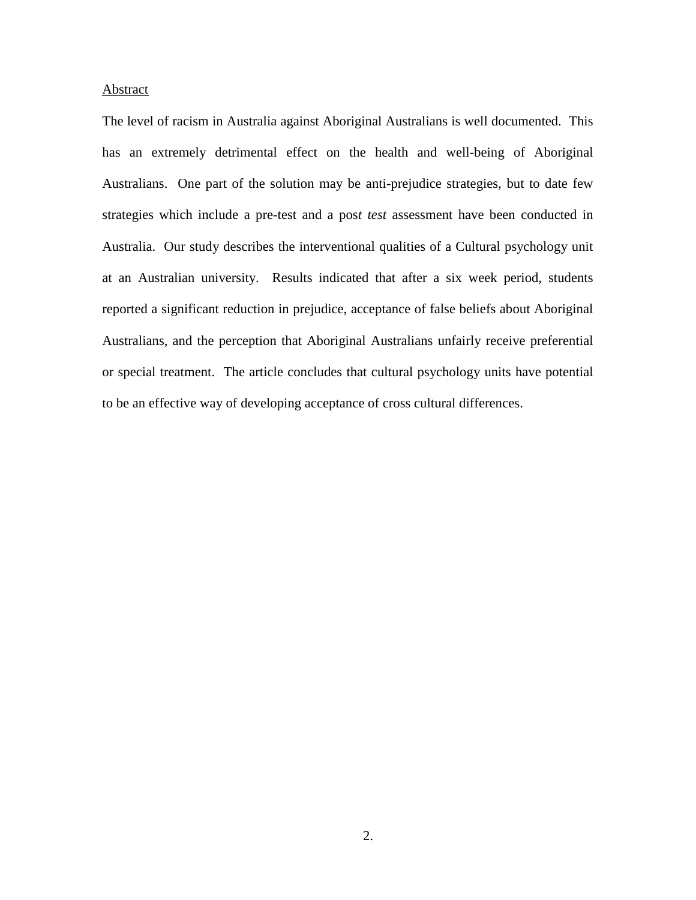# Abstract

The level of racism in Australia against Aboriginal Australians is well documented. This has an extremely detrimental effect on the health and well-being of Aboriginal Australians. One part of the solution may be anti-prejudice strategies, but to date few strategies which include a pre-test and a pos*t test* assessment have been conducted in Australia. Our study describes the interventional qualities of a Cultural psychology unit at an Australian university. Results indicated that after a six week period, students reported a significant reduction in prejudice, acceptance of false beliefs about Aboriginal Australians, and the perception that Aboriginal Australians unfairly receive preferential or special treatment. The article concludes that cultural psychology units have potential to be an effective way of developing acceptance of cross cultural differences.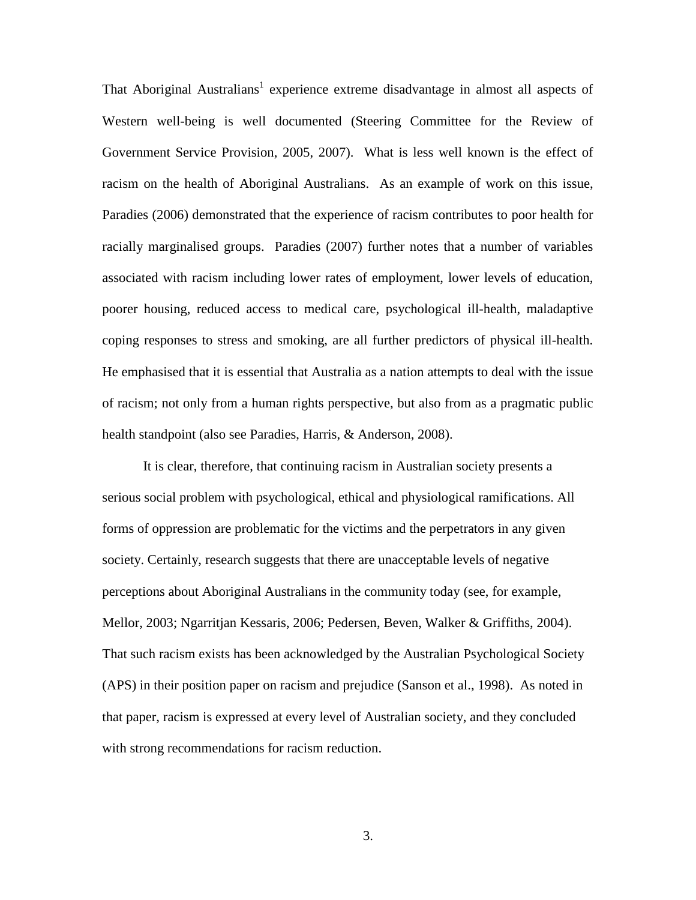That Aboriginal Australians<sup>1</sup> experience extreme disadvantage in almost all aspects of Western well-being is well documented (Steering Committee for the Review of Government Service Provision, 2005, 2007). What is less well known is the effect of racism on the health of Aboriginal Australians. As an example of work on this issue, Paradies (2006) demonstrated that the experience of racism contributes to poor health for racially marginalised groups. Paradies (2007) further notes that a number of variables associated with racism including lower rates of employment, lower levels of education, poorer housing, reduced access to medical care, psychological ill-health, maladaptive coping responses to stress and smoking, are all further predictors of physical ill-health. He emphasised that it is essential that Australia as a nation attempts to deal with the issue of racism; not only from a human rights perspective, but also from as a pragmatic public health standpoint (also see Paradies, Harris, & Anderson, 2008).

It is clear, therefore, that continuing racism in Australian society presents a serious social problem with psychological, ethical and physiological ramifications. All forms of oppression are problematic for the victims and the perpetrators in any given society. Certainly, research suggests that there are unacceptable levels of negative perceptions about Aboriginal Australians in the community today (see, for example, Mellor, 2003; Ngarritjan Kessaris, 2006; Pedersen, Beven, Walker & Griffiths, 2004). That such racism exists has been acknowledged by the Australian Psychological Society (APS) in their position paper on racism and prejudice (Sanson et al., 1998). As noted in that paper, racism is expressed at every level of Australian society, and they concluded with strong recommendations for racism reduction.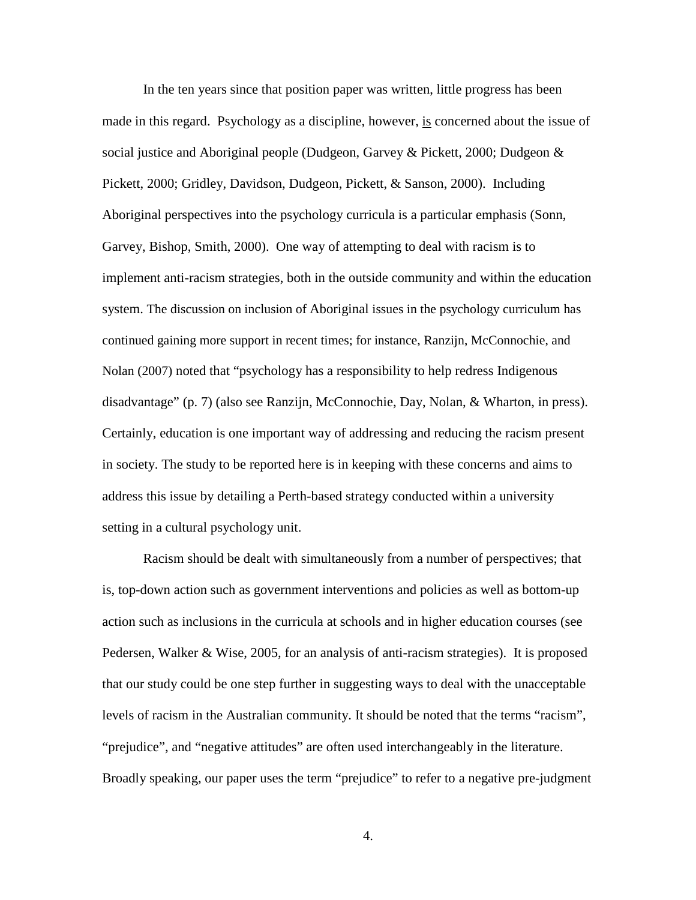In the ten years since that position paper was written, little progress has been made in this regard. Psychology as a discipline, however, is concerned about the issue of social justice and Aboriginal people (Dudgeon, Garvey & Pickett, 2000; Dudgeon & Pickett, 2000; Gridley, Davidson, Dudgeon, Pickett, & Sanson, 2000). Including Aboriginal perspectives into the psychology curricula is a particular emphasis (Sonn, Garvey, Bishop, Smith, 2000). One way of attempting to deal with racism is to implement anti-racism strategies, both in the outside community and within the education system. The discussion on inclusion of Aboriginal issues in the psychology curriculum has continued gaining more support in recent times; for instance, Ranzijn, McConnochie, and Nolan (2007) noted that "psychology has a responsibility to help redress Indigenous disadvantage" (p. 7) (also see Ranzijn, McConnochie, Day, Nolan, & Wharton, in press). Certainly, education is one important way of addressing and reducing the racism present in society. The study to be reported here is in keeping with these concerns and aims to address this issue by detailing a Perth-based strategy conducted within a university setting in a cultural psychology unit.

Racism should be dealt with simultaneously from a number of perspectives; that is, top-down action such as government interventions and policies as well as bottom-up action such as inclusions in the curricula at schools and in higher education courses (see Pedersen, Walker & Wise, 2005, for an analysis of anti-racism strategies). It is proposed that our study could be one step further in suggesting ways to deal with the unacceptable levels of racism in the Australian community. It should be noted that the terms "racism", "prejudice", and "negative attitudes" are often used interchangeably in the literature. Broadly speaking, our paper uses the term "prejudice" to refer to a negative pre-judgment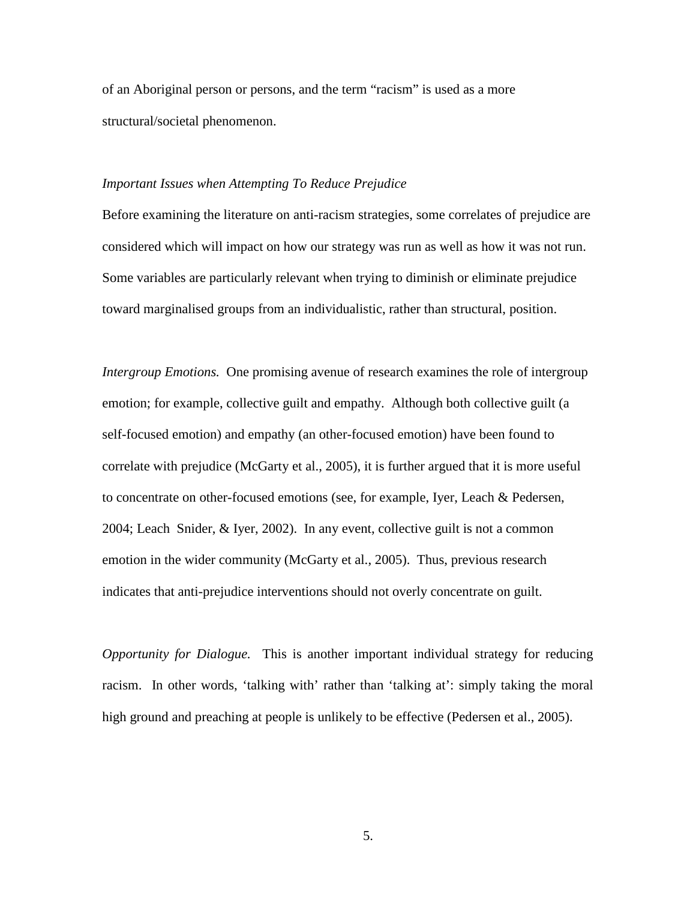of an Aboriginal person or persons, and the term "racism" is used as a more structural/societal phenomenon.

# *Important Issues when Attempting To Reduce Prejudice*

Before examining the literature on anti-racism strategies, some correlates of prejudice are considered which will impact on how our strategy was run as well as how it was not run. Some variables are particularly relevant when trying to diminish or eliminate prejudice toward marginalised groups from an individualistic, rather than structural, position.

*Intergroup Emotions.* One promising avenue of research examines the role of intergroup emotion; for example, collective guilt and empathy. Although both collective guilt (a self-focused emotion) and empathy (an other-focused emotion) have been found to correlate with prejudice (McGarty et al., 2005), it is further argued that it is more useful to concentrate on other-focused emotions (see, for example, Iyer, Leach & Pedersen, 2004; Leach Snider, & Iyer, 2002). In any event, collective guilt is not a common emotion in the wider community (McGarty et al., 2005). Thus, previous research indicates that anti-prejudice interventions should not overly concentrate on guilt.

*Opportunity for Dialogue.* This is another important individual strategy for reducing racism. In other words, 'talking with' rather than 'talking at': simply taking the moral high ground and preaching at people is unlikely to be effective (Pedersen et al., 2005).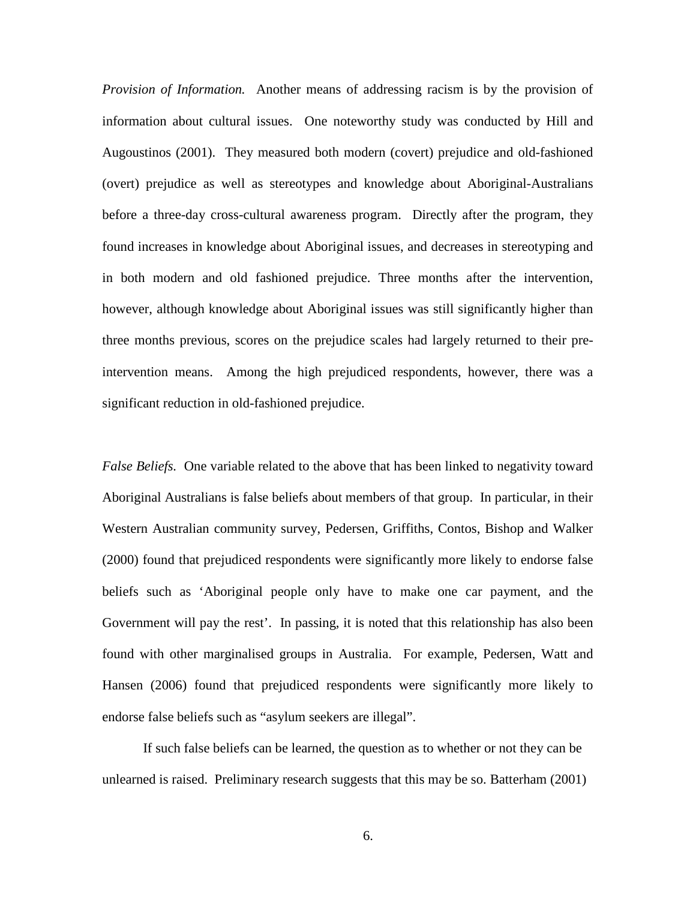*Provision of Information.* Another means of addressing racism is by the provision of information about cultural issues. One noteworthy study was conducted by Hill and Augoustinos (2001). They measured both modern (covert) prejudice and old-fashioned (overt) prejudice as well as stereotypes and knowledge about Aboriginal-Australians before a three-day cross-cultural awareness program. Directly after the program, they found increases in knowledge about Aboriginal issues, and decreases in stereotyping and in both modern and old fashioned prejudice. Three months after the intervention, however, although knowledge about Aboriginal issues was still significantly higher than three months previous, scores on the prejudice scales had largely returned to their preintervention means. Among the high prejudiced respondents, however, there was a significant reduction in old-fashioned prejudice.

*False Beliefs.* One variable related to the above that has been linked to negativity toward Aboriginal Australians is false beliefs about members of that group. In particular, in their Western Australian community survey, Pedersen, Griffiths, Contos, Bishop and Walker (2000) found that prejudiced respondents were significantly more likely to endorse false beliefs such as 'Aboriginal people only have to make one car payment, and the Government will pay the rest'. In passing, it is noted that this relationship has also been found with other marginalised groups in Australia. For example, Pedersen, Watt and Hansen (2006) found that prejudiced respondents were significantly more likely to endorse false beliefs such as "asylum seekers are illegal".

If such false beliefs can be learned, the question as to whether or not they can be unlearned is raised. Preliminary research suggests that this may be so. Batterham (2001)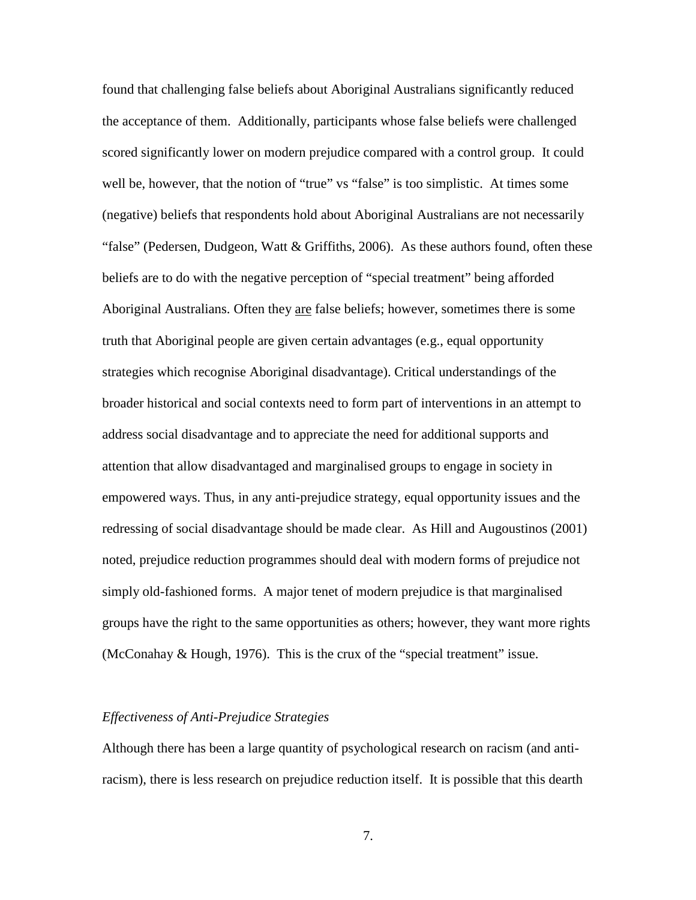found that challenging false beliefs about Aboriginal Australians significantly reduced the acceptance of them. Additionally, participants whose false beliefs were challenged scored significantly lower on modern prejudice compared with a control group. It could well be, however, that the notion of "true" vs "false" is too simplistic. At times some (negative) beliefs that respondents hold about Aboriginal Australians are not necessarily "false" (Pedersen, Dudgeon, Watt & Griffiths, 2006). As these authors found, often these beliefs are to do with the negative perception of "special treatment" being afforded Aboriginal Australians. Often they <u>are</u> false beliefs; however, sometimes there is some truth that Aboriginal people are given certain advantages (e.g., equal opportunity strategies which recognise Aboriginal disadvantage). Critical understandings of the broader historical and social contexts need to form part of interventions in an attempt to address social disadvantage and to appreciate the need for additional supports and attention that allow disadvantaged and marginalised groups to engage in society in empowered ways. Thus, in any anti-prejudice strategy, equal opportunity issues and the redressing of social disadvantage should be made clear. As Hill and Augoustinos (2001) noted, prejudice reduction programmes should deal with modern forms of prejudice not simply old-fashioned forms. A major tenet of modern prejudice is that marginalised groups have the right to the same opportunities as others; however, they want more rights (McConahay  $\&$  Hough, 1976). This is the crux of the "special treatment" issue.

# *Effectiveness of Anti-Prejudice Strategies*

Although there has been a large quantity of psychological research on racism (and antiracism), there is less research on prejudice reduction itself. It is possible that this dearth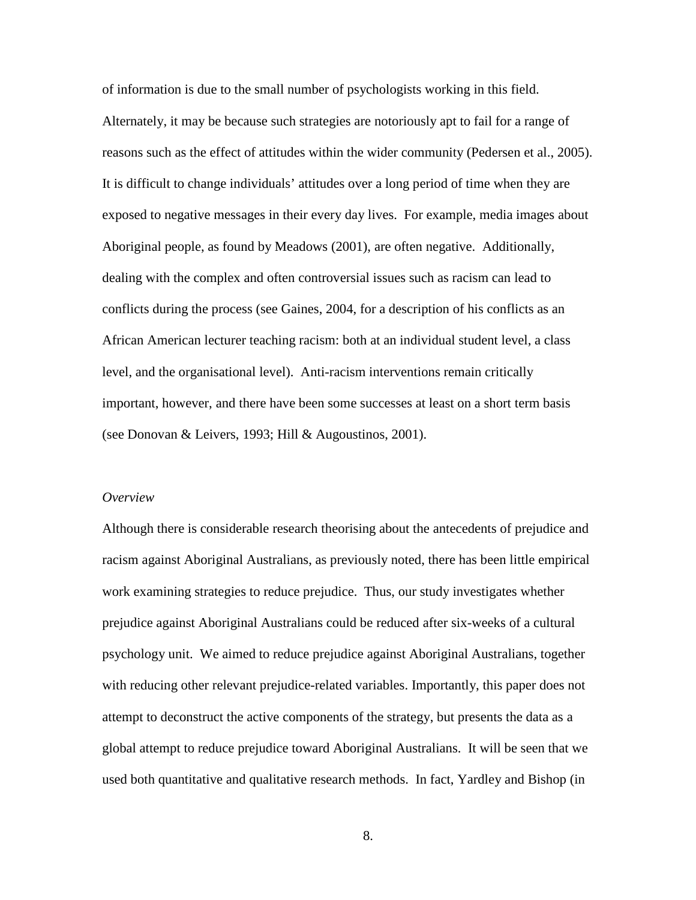of information is due to the small number of psychologists working in this field. Alternately, it may be because such strategies are notoriously apt to fail for a range of reasons such as the effect of attitudes within the wider community (Pedersen et al., 2005). It is difficult to change individuals' attitudes over a long period of time when they are exposed to negative messages in their every day lives. For example, media images about Aboriginal people, as found by Meadows (2001), are often negative. Additionally, dealing with the complex and often controversial issues such as racism can lead to conflicts during the process (see Gaines, 2004, for a description of his conflicts as an African American lecturer teaching racism: both at an individual student level, a class level, and the organisational level). Anti-racism interventions remain critically important, however, and there have been some successes at least on a short term basis (see Donovan & Leivers, 1993; Hill & Augoustinos, 2001).

# *Overview*

Although there is considerable research theorising about the antecedents of prejudice and racism against Aboriginal Australians, as previously noted, there has been little empirical work examining strategies to reduce prejudice. Thus, our study investigates whether prejudice against Aboriginal Australians could be reduced after six-weeks of a cultural psychology unit. We aimed to reduce prejudice against Aboriginal Australians, together with reducing other relevant prejudice-related variables. Importantly, this paper does not attempt to deconstruct the active components of the strategy, but presents the data as a global attempt to reduce prejudice toward Aboriginal Australians. It will be seen that we used both quantitative and qualitative research methods. In fact, Yardley and Bishop (in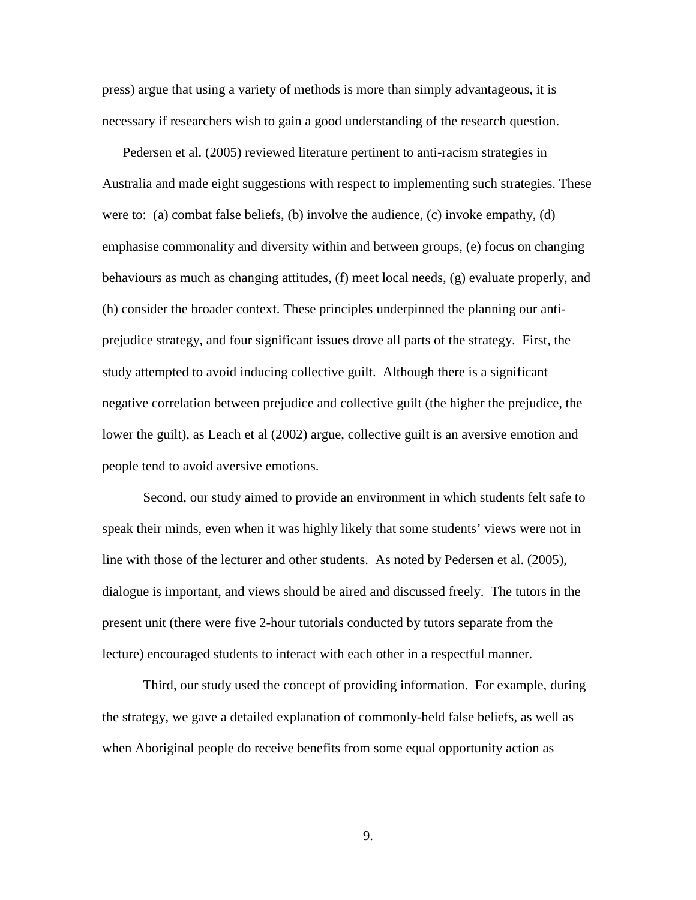press) argue that using a variety of methods is more than simply advantageous, it is necessary if researchers wish to gain a good understanding of the research question.

Pedersen et al. (2005) reviewed literature pertinent to anti-racism strategies in Australia and made eight suggestions with respect to implementing such strategies. These were to: (a) combat false beliefs, (b) involve the audience, (c) invoke empathy, (d) emphasise commonality and diversity within and between groups, (e) focus on changing behaviours as much as changing attitudes, (f) meet local needs, (g) evaluate properly, and (h) consider the broader context. These principles underpinned the planning our antiprejudice strategy, and four significant issues drove all parts of the strategy. First, the study attempted to avoid inducing collective guilt. Although there is a significant negative correlation between prejudice and collective guilt (the higher the prejudice, the lower the guilt), as Leach et al (2002) argue, collective guilt is an aversive emotion and people tend to avoid aversive emotions.

Second, our study aimed to provide an environment in which students felt safe to speak their minds, even when it was highly likely that some students' views were not in line with those of the lecturer and other students. As noted by Pedersen et al. (2005), dialogue is important, and views should be aired and discussed freely. The tutors in the present unit (there were five 2-hour tutorials conducted by tutors separate from the lecture) encouraged students to interact with each other in a respectful manner.

Third, our study used the concept of providing information. For example, during the strategy, we gave a detailed explanation of commonly-held false beliefs, as well as when Aboriginal people do receive benefits from some equal opportunity action as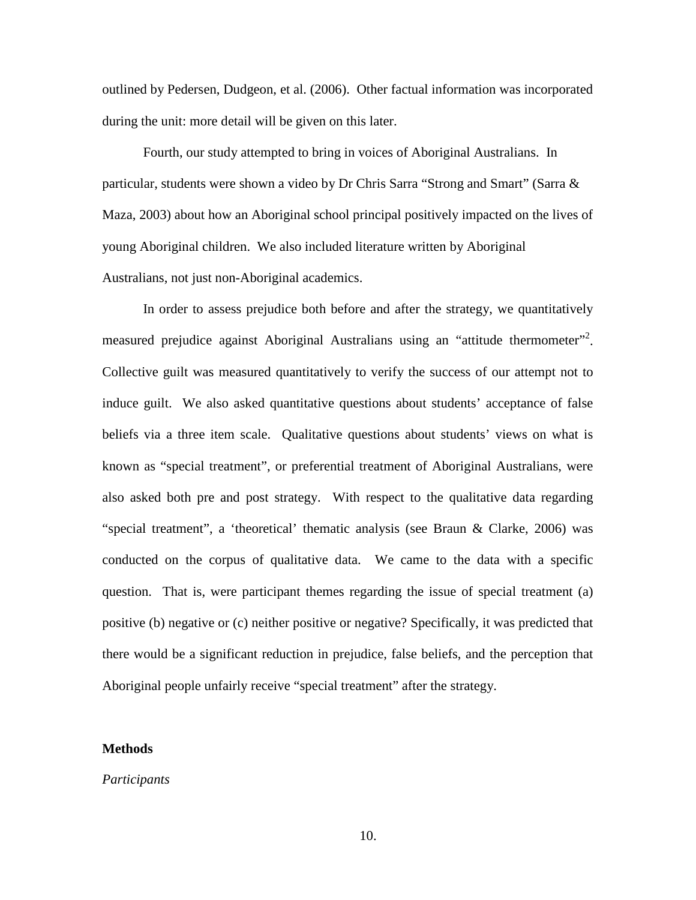outlined by Pedersen, Dudgeon, et al. (2006). Other factual information was incorporated during the unit: more detail will be given on this later.

Fourth, our study attempted to bring in voices of Aboriginal Australians. In particular, students were shown a video by Dr Chris Sarra "Strong and Smart" (Sarra & Maza, 2003) about how an Aboriginal school principal positively impacted on the lives of young Aboriginal children. We also included literature written by Aboriginal Australians, not just non-Aboriginal academics.

In order to assess prejudice both before and after the strategy, we quantitatively measured prejudice against Aboriginal Australians using an "attitude thermometer"<sup>2</sup>. Collective guilt was measured quantitatively to verify the success of our attempt not to induce guilt. We also asked quantitative questions about students' acceptance of false beliefs via a three item scale. Qualitative questions about students' views on what is known as "special treatment", or preferential treatment of Aboriginal Australians, were also asked both pre and post strategy. With respect to the qualitative data regarding "special treatment", a 'theoretical' thematic analysis (see Braun & Clarke, 2006) was conducted on the corpus of qualitative data. We came to the data with a specific question. That is, were participant themes regarding the issue of special treatment (a) positive (b) negative or (c) neither positive or negative? Specifically, it was predicted that there would be a significant reduction in prejudice, false beliefs, and the perception that Aboriginal people unfairly receive "special treatment" after the strategy.

# **Methods**

#### *Participants*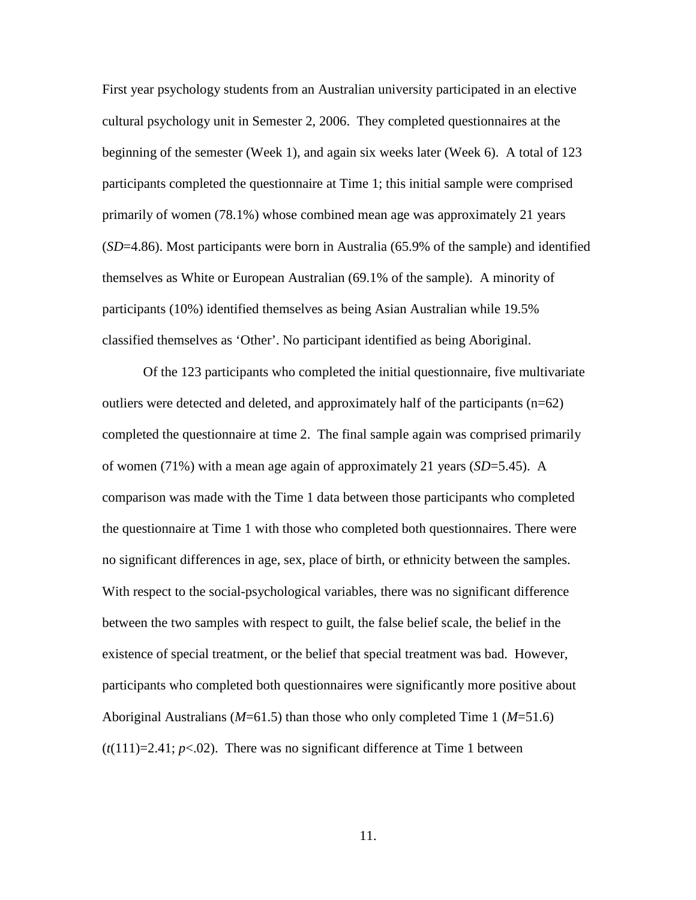First year psychology students from an Australian university participated in an elective cultural psychology unit in Semester 2, 2006. They completed questionnaires at the beginning of the semester (Week 1), and again six weeks later (Week 6). A total of 123 participants completed the questionnaire at Time 1; this initial sample were comprised primarily of women (78.1%) whose combined mean age was approximately 21 years (*SD*=4.86). Most participants were born in Australia (65.9% of the sample) and identified themselves as White or European Australian (69.1% of the sample). A minority of participants (10%) identified themselves as being Asian Australian while 19.5% classified themselves as 'Other'. No participant identified as being Aboriginal.

Of the 123 participants who completed the initial questionnaire, five multivariate outliers were detected and deleted, and approximately half of the participants  $(n=62)$ completed the questionnaire at time 2. The final sample again was comprised primarily of women (71%) with a mean age again of approximately 21 years (*SD*=5.45). A comparison was made with the Time 1 data between those participants who completed the questionnaire at Time 1 with those who completed both questionnaires. There were no significant differences in age, sex, place of birth, or ethnicity between the samples. With respect to the social-psychological variables, there was no significant difference between the two samples with respect to guilt, the false belief scale, the belief in the existence of special treatment, or the belief that special treatment was bad. However, participants who completed both questionnaires were significantly more positive about Aboriginal Australians (*M*=61.5) than those who only completed Time 1 (*M*=51.6)  $(t(111)=2.41; p<0.2)$ . There was no significant difference at Time 1 between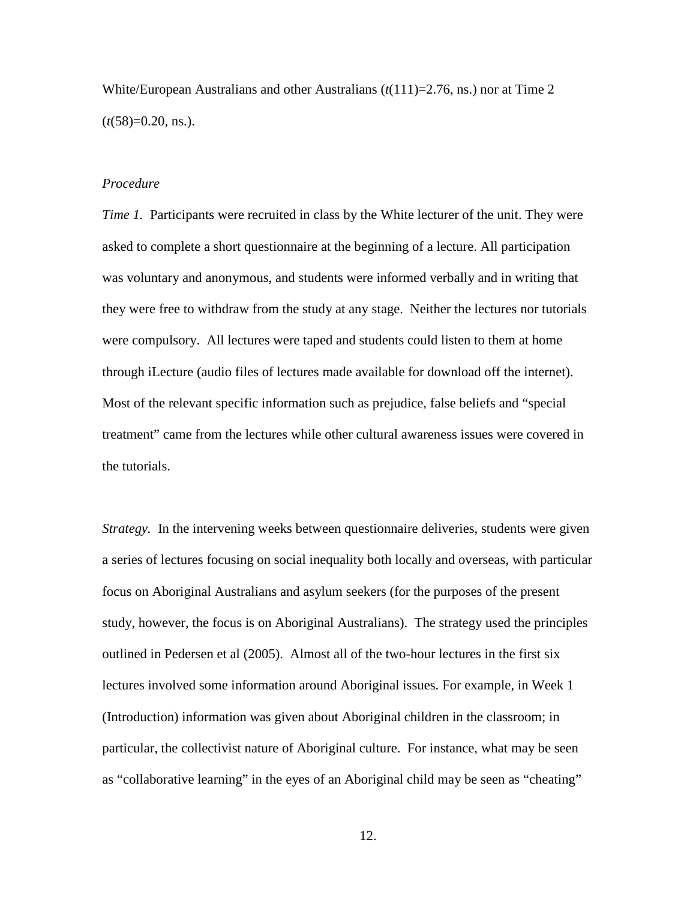White/European Australians and other Australians  $(t(111)=2.76$ , ns.) nor at Time 2  $(t(58)=0.20, \text{ns.})$ .

# *Procedure*

*Time 1.* Participants were recruited in class by the White lecturer of the unit. They were asked to complete a short questionnaire at the beginning of a lecture. All participation was voluntary and anonymous, and students were informed verbally and in writing that they were free to withdraw from the study at any stage. Neither the lectures nor tutorials were compulsory. All lectures were taped and students could listen to them at home through iLecture (audio files of lectures made available for download off the internet). Most of the relevant specific information such as prejudice, false beliefs and "special treatment" came from the lectures while other cultural awareness issues were covered in the tutorials.

*Strategy.* In the intervening weeks between questionnaire deliveries, students were given a series of lectures focusing on social inequality both locally and overseas, with particular focus on Aboriginal Australians and asylum seekers (for the purposes of the present study, however, the focus is on Aboriginal Australians). The strategy used the principles outlined in Pedersen et al (2005). Almost all of the two-hour lectures in the first six lectures involved some information around Aboriginal issues. For example, in Week 1 (Introduction) information was given about Aboriginal children in the classroom; in particular, the collectivist nature of Aboriginal culture. For instance, what may be seen as "collaborative learning" in the eyes of an Aboriginal child may be seen as "cheating"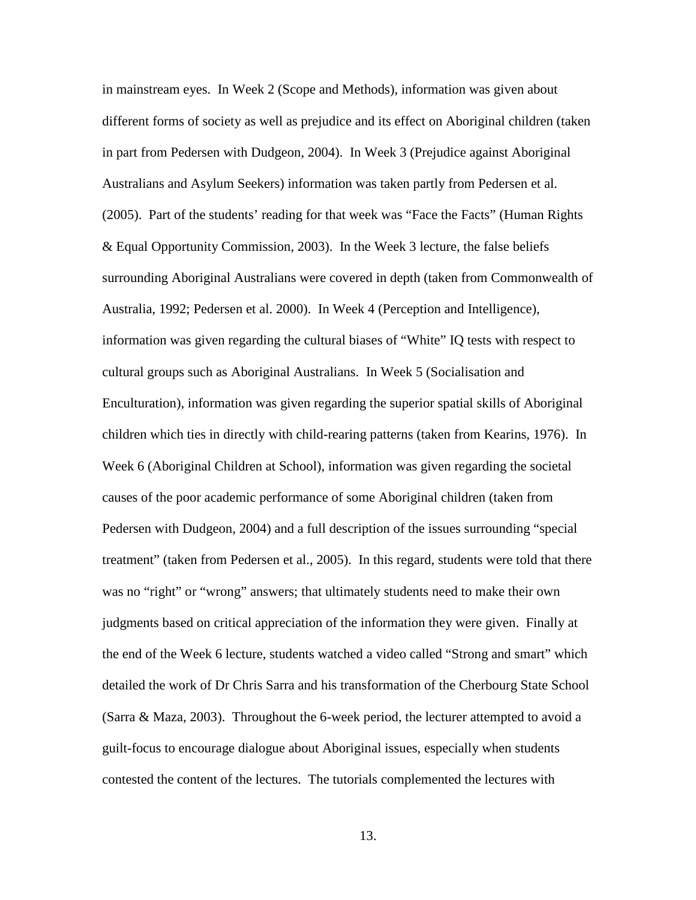in mainstream eyes. In Week 2 (Scope and Methods), information was given about different forms of society as well as prejudice and its effect on Aboriginal children (taken in part from Pedersen with Dudgeon, 2004). In Week 3 (Prejudice against Aboriginal Australians and Asylum Seekers) information was taken partly from Pedersen et al. (2005). Part of the students' reading for that week was "Face the Facts" (Human Rights & Equal Opportunity Commission, 2003). In the Week 3 lecture, the false beliefs surrounding Aboriginal Australians were covered in depth (taken from Commonwealth of Australia, 1992; Pedersen et al. 2000). In Week 4 (Perception and Intelligence), information was given regarding the cultural biases of "White" IQ tests with respect to cultural groups such as Aboriginal Australians. In Week 5 (Socialisation and Enculturation), information was given regarding the superior spatial skills of Aboriginal children which ties in directly with child-rearing patterns (taken from Kearins, 1976). In Week 6 (Aboriginal Children at School), information was given regarding the societal causes of the poor academic performance of some Aboriginal children (taken from Pedersen with Dudgeon, 2004) and a full description of the issues surrounding "special treatment" (taken from Pedersen et al., 2005). In this regard, students were told that there was no "right" or "wrong" answers; that ultimately students need to make their own judgments based on critical appreciation of the information they were given. Finally at the end of the Week 6 lecture, students watched a video called "Strong and smart" which detailed the work of Dr Chris Sarra and his transformation of the Cherbourg State School (Sarra & Maza, 2003). Throughout the 6-week period, the lecturer attempted to avoid a guilt-focus to encourage dialogue about Aboriginal issues, especially when students contested the content of the lectures. The tutorials complemented the lectures with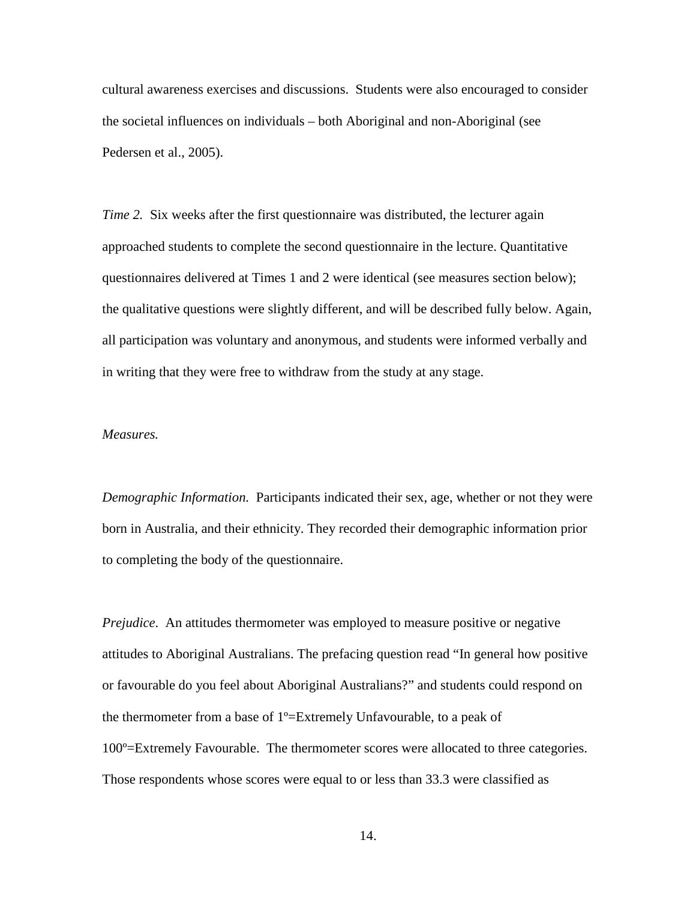cultural awareness exercises and discussions. Students were also encouraged to consider the societal influences on individuals – both Aboriginal and non-Aboriginal (see Pedersen et al., 2005).

*Time 2.* Six weeks after the first questionnaire was distributed, the lecturer again approached students to complete the second questionnaire in the lecture. Quantitative questionnaires delivered at Times 1 and 2 were identical (see measures section below); the qualitative questions were slightly different, and will be described fully below. Again, all participation was voluntary and anonymous, and students were informed verbally and in writing that they were free to withdraw from the study at any stage.

# *Measures.*

*Demographic Information.* Participants indicated their sex, age, whether or not they were born in Australia, and their ethnicity. They recorded their demographic information prior to completing the body of the questionnaire.

*Prejudice.* An attitudes thermometer was employed to measure positive or negative attitudes to Aboriginal Australians. The prefacing question read "In general how positive or favourable do you feel about Aboriginal Australians?" and students could respond on the thermometer from a base of 1º=Extremely Unfavourable, to a peak of 100º=Extremely Favourable. The thermometer scores were allocated to three categories. Those respondents whose scores were equal to or less than 33.3 were classified as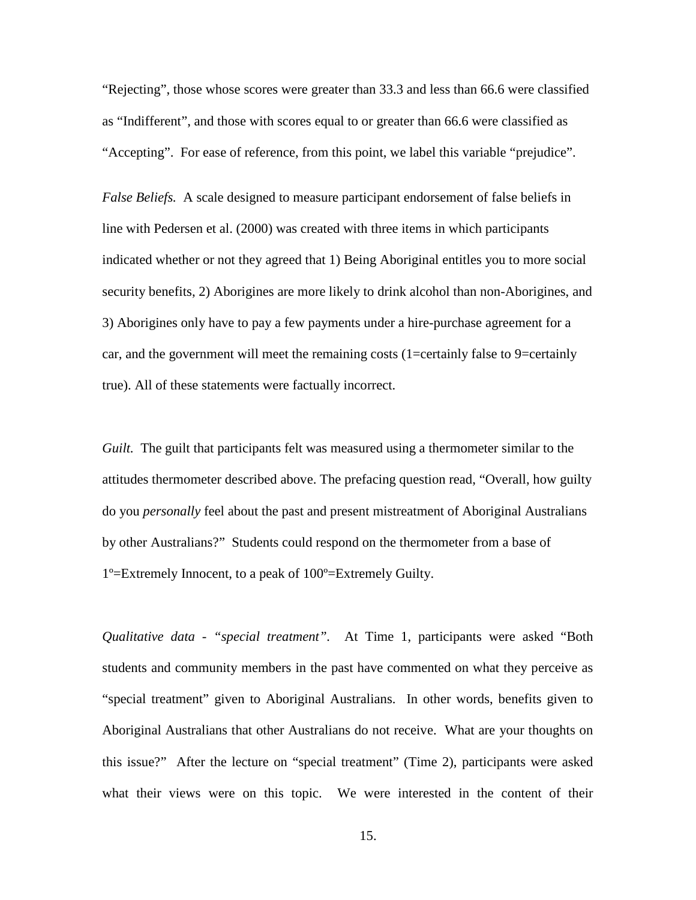"Rejecting", those whose scores were greater than 33.3 and less than 66.6 were classified as "Indifferent", and those with scores equal to or greater than 66.6 were classified as "Accepting". For ease of reference, from this point, we label this variable "prejudice".

*False Beliefs.* A scale designed to measure participant endorsement of false beliefs in line with Pedersen et al. (2000) was created with three items in which participants indicated whether or not they agreed that 1) Being Aboriginal entitles you to more social security benefits, 2) Aborigines are more likely to drink alcohol than non-Aborigines, and 3) Aborigines only have to pay a few payments under a hire-purchase agreement for a car, and the government will meet the remaining costs (1=certainly false to 9=certainly true). All of these statements were factually incorrect.

*Guilt.* The guilt that participants felt was measured using a thermometer similar to the attitudes thermometer described above. The prefacing question read, "Overall, how guilty do you *personally* feel about the past and present mistreatment of Aboriginal Australians by other Australians?" Students could respond on the thermometer from a base of 1º=Extremely Innocent, to a peak of 100º=Extremely Guilty.

*Qualitative data - "special treatment".* At Time 1, participants were asked "Both students and community members in the past have commented on what they perceive as "special treatment" given to Aboriginal Australians. In other words, benefits given to Aboriginal Australians that other Australians do not receive. What are your thoughts on this issue?" After the lecture on "special treatment" (Time 2), participants were asked what their views were on this topic. We were interested in the content of their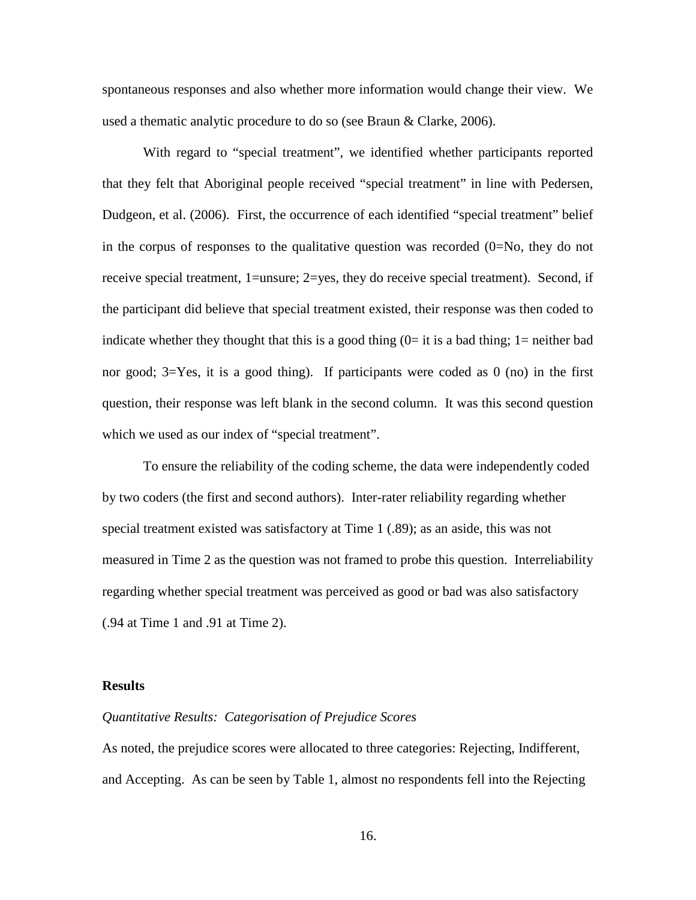spontaneous responses and also whether more information would change their view. We used a thematic analytic procedure to do so (see Braun & Clarke, 2006).

With regard to "special treatment", we identified whether participants reported that they felt that Aboriginal people received "special treatment" in line with Pedersen, Dudgeon, et al. (2006). First, the occurrence of each identified "special treatment" belief in the corpus of responses to the qualitative question was recorded  $(0=N_0,$  they do not receive special treatment, 1=unsure; 2=yes, they do receive special treatment). Second, if the participant did believe that special treatment existed, their response was then coded to indicate whether they thought that this is a good thing  $(0=$  it is a bad thing; 1 = neither bad nor good; 3=Yes, it is a good thing). If participants were coded as 0 (no) in the first question, their response was left blank in the second column. It was this second question which we used as our index of "special treatment".

To ensure the reliability of the coding scheme, the data were independently coded by two coders (the first and second authors). Inter-rater reliability regarding whether special treatment existed was satisfactory at Time 1 (.89); as an aside, this was not measured in Time 2 as the question was not framed to probe this question. Interreliability regarding whether special treatment was perceived as good or bad was also satisfactory (.94 at Time 1 and .91 at Time 2).

# **Results**

#### *Quantitative Results: Categorisation of Prejudice Scores*

As noted, the prejudice scores were allocated to three categories: Rejecting, Indifferent, and Accepting. As can be seen by Table 1, almost no respondents fell into the Rejecting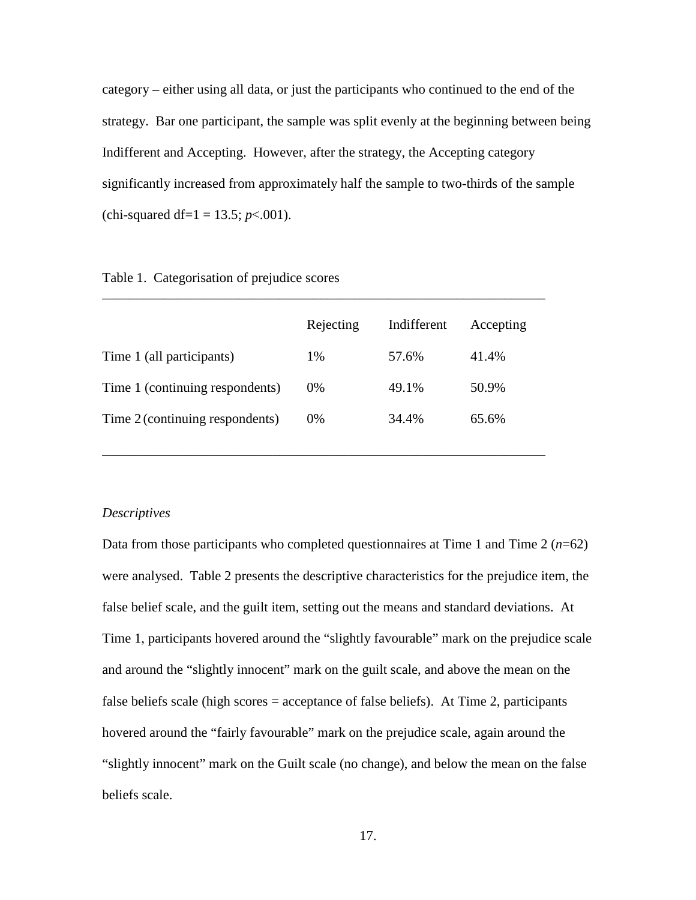category – either using all data, or just the participants who continued to the end of the strategy. Bar one participant, the sample was split evenly at the beginning between being Indifferent and Accepting. However, after the strategy, the Accepting category significantly increased from approximately half the sample to two-thirds of the sample (chi-squared df=1 = 13.5; *p*<.001).

|                                 | Rejecting | Indifferent | Accepting |  |
|---------------------------------|-----------|-------------|-----------|--|
| Time 1 (all participants)       | 1%        | 57.6%       | 41.4%     |  |
| Time 1 (continuing respondents) | $0\%$     | 49.1%       | 50.9%     |  |
| Time 2 (continuing respondents) | $0\%$     | 34.4%       | 65.6%     |  |
|                                 |           |             |           |  |

\_\_\_\_\_\_\_\_\_\_\_\_\_\_\_\_\_\_\_\_\_\_\_\_\_\_\_\_\_\_\_\_\_\_\_\_\_\_\_\_\_\_\_\_\_\_\_\_\_\_\_\_\_\_\_\_\_\_\_\_\_\_\_\_\_

Table 1. Categorisation of prejudice scores

#### *Descriptives*

Data from those participants who completed questionnaires at Time 1 and Time 2 (*n*=62) were analysed. Table 2 presents the descriptive characteristics for the prejudice item, the false belief scale, and the guilt item, setting out the means and standard deviations. At Time 1, participants hovered around the "slightly favourable" mark on the prejudice scale and around the "slightly innocent" mark on the guilt scale, and above the mean on the false beliefs scale (high scores = acceptance of false beliefs). At Time 2, participants hovered around the "fairly favourable" mark on the prejudice scale, again around the "slightly innocent" mark on the Guilt scale (no change), and below the mean on the false beliefs scale.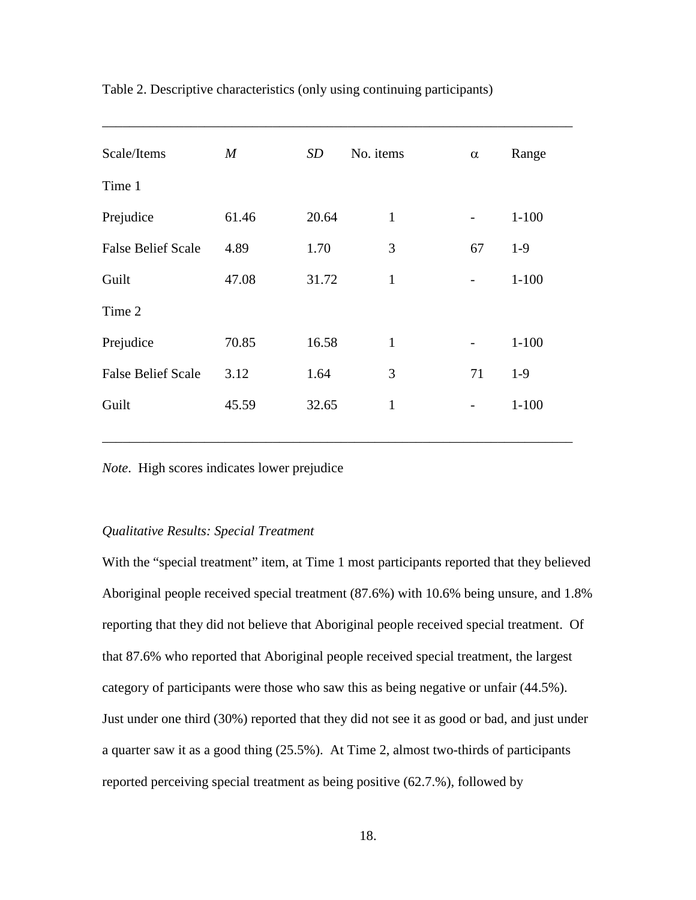| Scale/Items               | $\boldsymbol{M}$ | SD    | No. items    | $\alpha$                 | Range     |
|---------------------------|------------------|-------|--------------|--------------------------|-----------|
| Time 1                    |                  |       |              |                          |           |
| Prejudice                 | 61.46            | 20.64 | $\mathbf{1}$ | $\overline{\phantom{0}}$ | $1 - 100$ |
| <b>False Belief Scale</b> | 4.89             | 1.70  | 3            | 67                       | $1-9$     |
| Guilt                     | 47.08            | 31.72 | $\mathbf{1}$ |                          | $1 - 100$ |
| Time 2                    |                  |       |              |                          |           |
| Prejudice                 | 70.85            | 16.58 | $\mathbf{1}$ | $\overline{\phantom{0}}$ | $1 - 100$ |
| <b>False Belief Scale</b> | 3.12             | 1.64  | 3            | 71                       | $1-9$     |
| Guilt                     | 45.59            | 32.65 | $\mathbf{1}$ |                          | $1 - 100$ |
|                           |                  |       |              |                          |           |

\_\_\_\_\_\_\_\_\_\_\_\_\_\_\_\_\_\_\_\_\_\_\_\_\_\_\_\_\_\_\_\_\_\_\_\_\_\_\_\_\_\_\_\_\_\_\_\_\_\_\_\_\_\_\_\_\_\_\_\_\_\_\_\_\_\_\_\_\_

Table 2. Descriptive characteristics (only using continuing participants)

*Note*. High scores indicates lower prejudice

# *Qualitative Results: Special Treatment*

With the "special treatment" item, at Time 1 most participants reported that they believed Aboriginal people received special treatment (87.6%) with 10.6% being unsure, and 1.8% reporting that they did not believe that Aboriginal people received special treatment. Of that 87.6% who reported that Aboriginal people received special treatment, the largest category of participants were those who saw this as being negative or unfair (44.5%). Just under one third (30%) reported that they did not see it as good or bad, and just under a quarter saw it as a good thing (25.5%). At Time 2, almost two-thirds of participants reported perceiving special treatment as being positive (62.7.%), followed by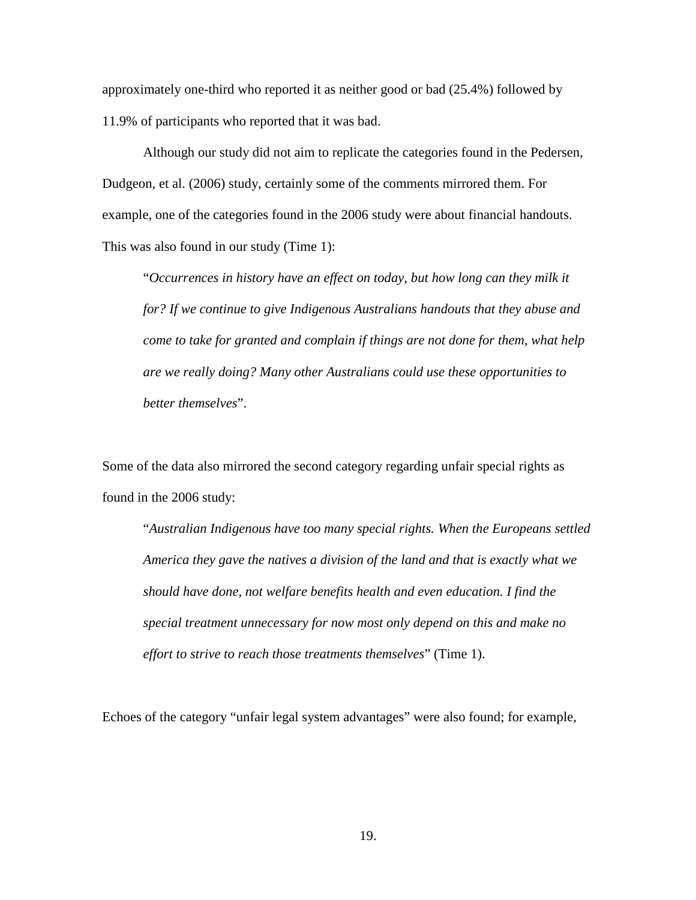approximately one-third who reported it as neither good or bad (25.4%) followed by 11.9% of participants who reported that it was bad.

Although our study did not aim to replicate the categories found in the Pedersen, Dudgeon, et al. (2006) study, certainly some of the comments mirrored them. For example, one of the categories found in the 2006 study were about financial handouts. This was also found in our study (Time 1):

"*Occurrences in history have an effect on today, but how long can they milk it for? If we continue to give Indigenous Australians handouts that they abuse and come to take for granted and complain if things are not done for them, what help are we really doing? Many other Australians could use these opportunities to better themselves*".

Some of the data also mirrored the second category regarding unfair special rights as found in the 2006 study:

"*Australian Indigenous have too many special rights. When the Europeans settled America they gave the natives a division of the land and that is exactly what we should have done, not welfare benefits health and even education. I find the special treatment unnecessary for now most only depend on this and make no effort to strive to reach those treatments themselves*" (Time 1).

Echoes of the category "unfair legal system advantages" were also found; for example,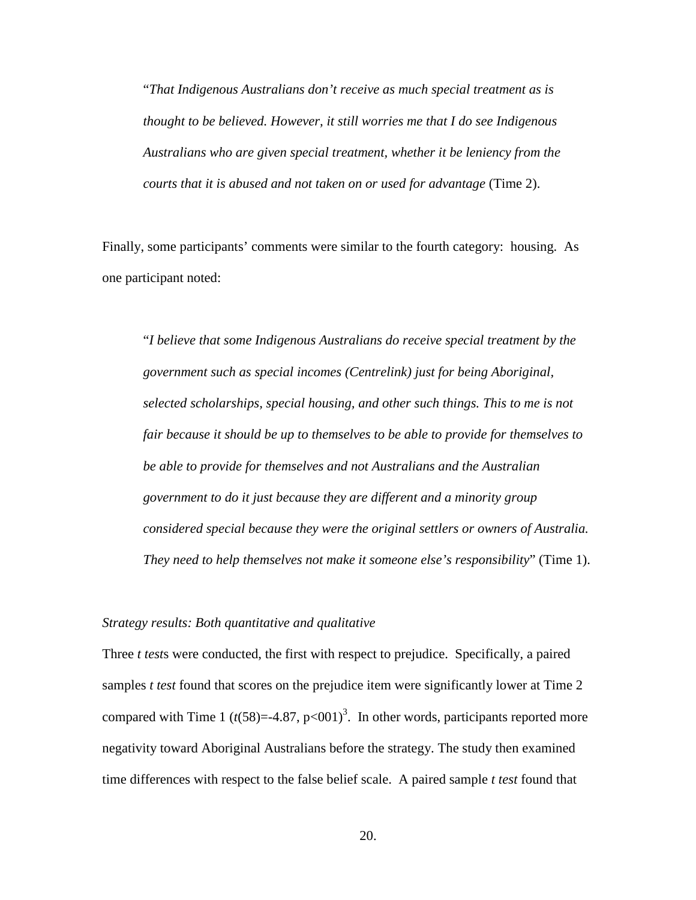"*That Indigenous Australians don't receive as much special treatment as is thought to be believed. However, it still worries me that I do see Indigenous Australians who are given special treatment, whether it be leniency from the courts that it is abused and not taken on or used for advantage* (Time 2).

Finally, some participants' comments were similar to the fourth category: housing. As one participant noted:

"*I believe that some Indigenous Australians do receive special treatment by the government such as special incomes (Centrelink) just for being Aboriginal, selected scholarships, special housing, and other such things. This to me is not fair because it should be up to themselves to be able to provide for themselves to be able to provide for themselves and not Australians and the Australian government to do it just because they are different and a minority group considered special because they were the original settlers or owners of Australia. They need to help themselves not make it someone else's responsibility*" (Time 1).

#### *Strategy results: Both quantitative and qualitative*

Three *t test*s were conducted, the first with respect to prejudice. Specifically, a paired samples *t test* found that scores on the prejudice item were significantly lower at Time 2 compared with Time 1  $(t(58)=-4.87, p<001)^3$ . In other words, participants reported more negativity toward Aboriginal Australians before the strategy. The study then examined time differences with respect to the false belief scale. A paired sample *t test* found that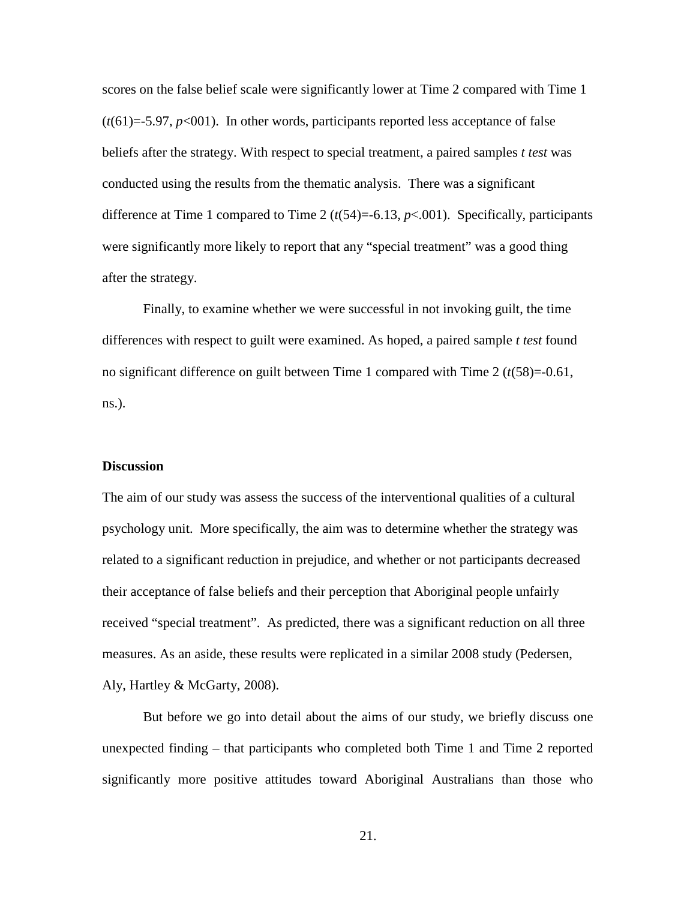scores on the false belief scale were significantly lower at Time 2 compared with Time 1  $(t(61)=5.97, p<0.01)$ . In other words, participants reported less acceptance of false beliefs after the strategy. With respect to special treatment, a paired samples *t test* was conducted using the results from the thematic analysis. There was a significant difference at Time 1 compared to Time 2 (*t*(54)=-6.13, *p*<.001). Specifically, participants were significantly more likely to report that any "special treatment" was a good thing after the strategy.

Finally, to examine whether we were successful in not invoking guilt, the time differences with respect to guilt were examined. As hoped, a paired sample *t test* found no significant difference on guilt between Time 1 compared with Time 2 (*t*(58)=-0.61, ns.).

# **Discussion**

The aim of our study was assess the success of the interventional qualities of a cultural psychology unit. More specifically, the aim was to determine whether the strategy was related to a significant reduction in prejudice, and whether or not participants decreased their acceptance of false beliefs and their perception that Aboriginal people unfairly received "special treatment". As predicted, there was a significant reduction on all three measures. As an aside, these results were replicated in a similar 2008 study (Pedersen, Aly, Hartley & McGarty, 2008).

But before we go into detail about the aims of our study, we briefly discuss one unexpected finding – that participants who completed both Time 1 and Time 2 reported significantly more positive attitudes toward Aboriginal Australians than those who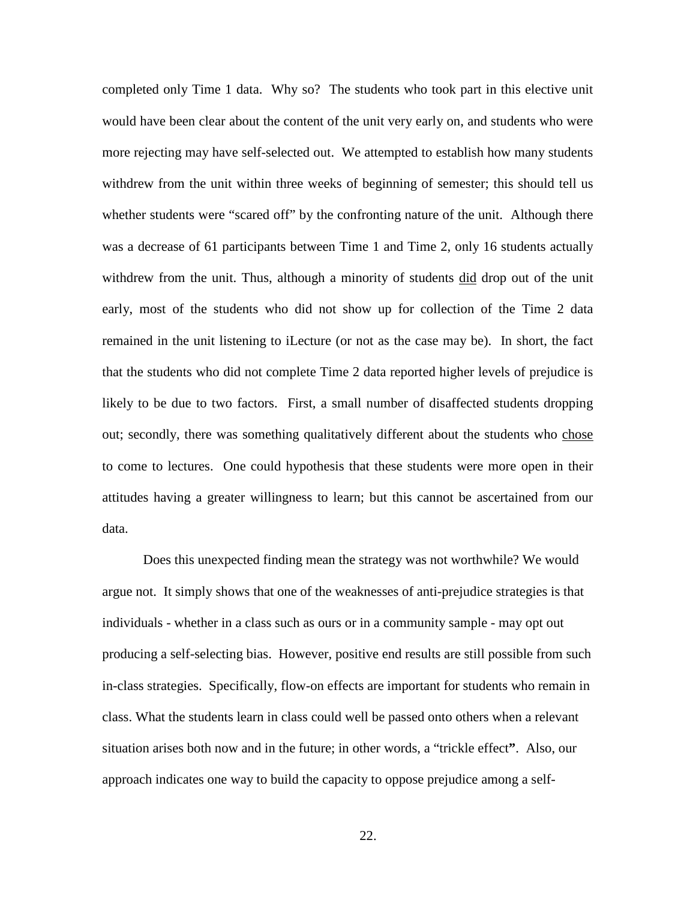completed only Time 1 data. Why so? The students who took part in this elective unit would have been clear about the content of the unit very early on, and students who were more rejecting may have self-selected out. We attempted to establish how many students withdrew from the unit within three weeks of beginning of semester; this should tell us whether students were "scared off" by the confronting nature of the unit. Although there was a decrease of 61 participants between Time 1 and Time 2, only 16 students actually withdrew from the unit. Thus, although a minority of students did drop out of the unit early, most of the students who did not show up for collection of the Time 2 data remained in the unit listening to iLecture (or not as the case may be). In short, the fact that the students who did not complete Time 2 data reported higher levels of prejudice is likely to be due to two factors. First, a small number of disaffected students dropping out; secondly, there was something qualitatively different about the students who chose to come to lectures. One could hypothesis that these students were more open in their attitudes having a greater willingness to learn; but this cannot be ascertained from our data.

Does this unexpected finding mean the strategy was not worthwhile? We would argue not. It simply shows that one of the weaknesses of anti-prejudice strategies is that individuals - whether in a class such as ours or in a community sample - may opt out producing a self-selecting bias. However, positive end results are still possible from such in-class strategies. Specifically, flow-on effects are important for students who remain in class. What the students learn in class could well be passed onto others when a relevant situation arises both now and in the future; in other words, a "trickle effect**"**. Also, our approach indicates one way to build the capacity to oppose prejudice among a self-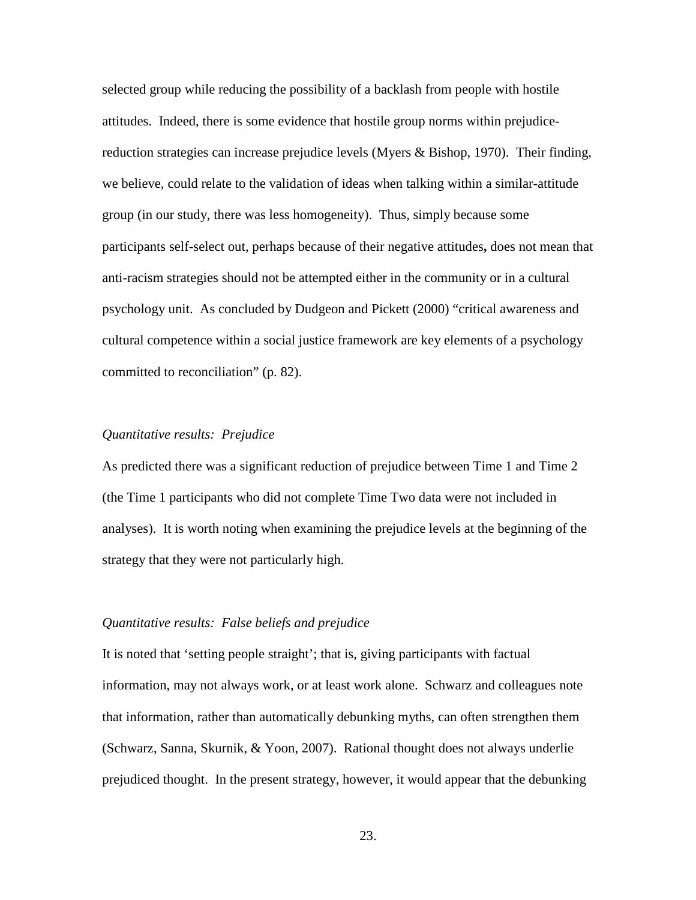selected group while reducing the possibility of a backlash from people with hostile attitudes. Indeed, there is some evidence that hostile group norms within prejudicereduction strategies can increase prejudice levels (Myers & Bishop, 1970). Their finding, we believe, could relate to the validation of ideas when talking within a similar-attitude group (in our study, there was less homogeneity). Thus, simply because some participants self-select out, perhaps because of their negative attitudes**,** does not mean that anti-racism strategies should not be attempted either in the community or in a cultural psychology unit. As concluded by Dudgeon and Pickett (2000) "critical awareness and cultural competence within a social justice framework are key elements of a psychology committed to reconciliation" (p. 82).

# *Quantitative results: Prejudice*

As predicted there was a significant reduction of prejudice between Time 1 and Time 2 (the Time 1 participants who did not complete Time Two data were not included in analyses). It is worth noting when examining the prejudice levels at the beginning of the strategy that they were not particularly high.

#### *Quantitative results: False beliefs and prejudice*

It is noted that 'setting people straight'; that is, giving participants with factual information, may not always work, or at least work alone. Schwarz and colleagues note that information, rather than automatically debunking myths, can often strengthen them (Schwarz, Sanna, Skurnik, & Yoon, 2007). Rational thought does not always underlie prejudiced thought. In the present strategy, however, it would appear that the debunking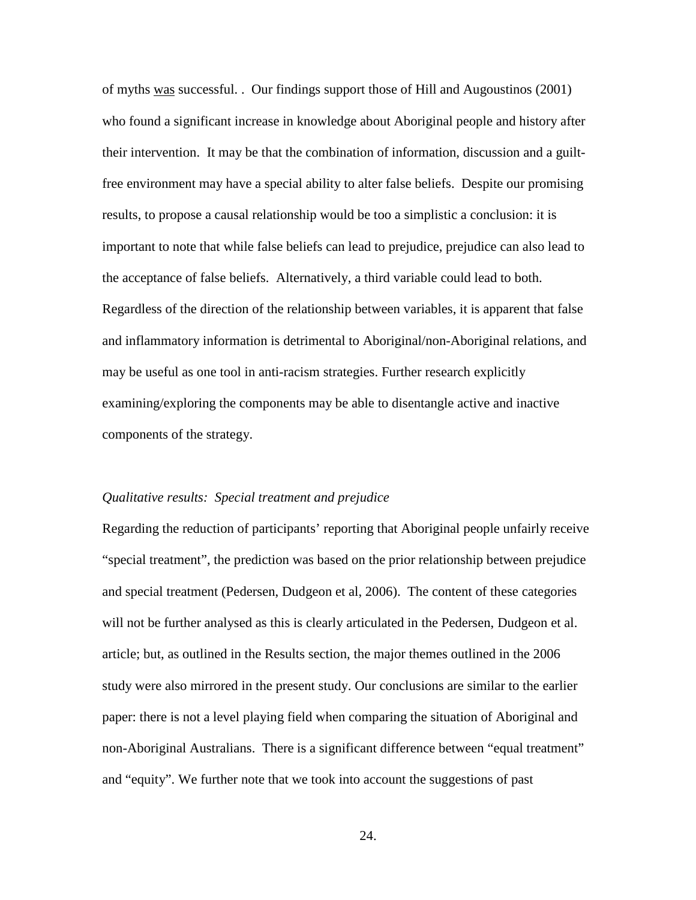of myths was successful. . Our findings support those of Hill and Augoustinos (2001) who found a significant increase in knowledge about Aboriginal people and history after their intervention. It may be that the combination of information, discussion and a guiltfree environment may have a special ability to alter false beliefs. Despite our promising results, to propose a causal relationship would be too a simplistic a conclusion: it is important to note that while false beliefs can lead to prejudice, prejudice can also lead to the acceptance of false beliefs. Alternatively, a third variable could lead to both. Regardless of the direction of the relationship between variables, it is apparent that false and inflammatory information is detrimental to Aboriginal/non-Aboriginal relations, and may be useful as one tool in anti-racism strategies. Further research explicitly examining/exploring the components may be able to disentangle active and inactive components of the strategy.

#### *Qualitative results: Special treatment and prejudice*

Regarding the reduction of participants' reporting that Aboriginal people unfairly receive "special treatment", the prediction was based on the prior relationship between prejudice and special treatment (Pedersen, Dudgeon et al, 2006). The content of these categories will not be further analysed as this is clearly articulated in the Pedersen, Dudgeon et al. article; but, as outlined in the Results section, the major themes outlined in the 2006 study were also mirrored in the present study. Our conclusions are similar to the earlier paper: there is not a level playing field when comparing the situation of Aboriginal and non-Aboriginal Australians. There is a significant difference between "equal treatment" and "equity". We further note that we took into account the suggestions of past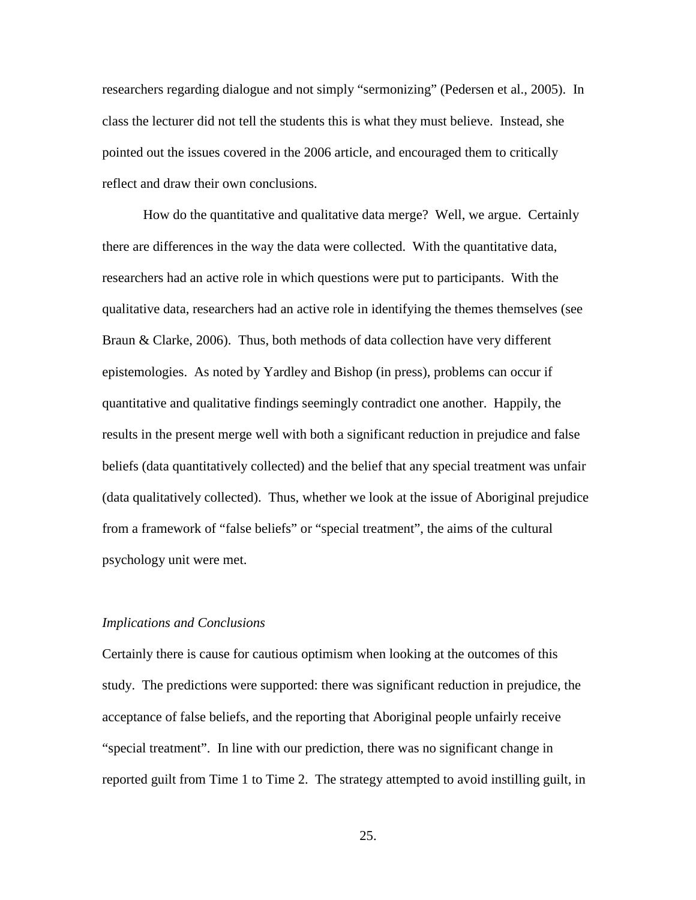researchers regarding dialogue and not simply "sermonizing" (Pedersen et al., 2005). In class the lecturer did not tell the students this is what they must believe. Instead, she pointed out the issues covered in the 2006 article, and encouraged them to critically reflect and draw their own conclusions.

How do the quantitative and qualitative data merge? Well, we argue. Certainly there are differences in the way the data were collected. With the quantitative data, researchers had an active role in which questions were put to participants. With the qualitative data, researchers had an active role in identifying the themes themselves (see Braun & Clarke, 2006). Thus, both methods of data collection have very different epistemologies. As noted by Yardley and Bishop (in press), problems can occur if quantitative and qualitative findings seemingly contradict one another. Happily, the results in the present merge well with both a significant reduction in prejudice and false beliefs (data quantitatively collected) and the belief that any special treatment was unfair (data qualitatively collected). Thus, whether we look at the issue of Aboriginal prejudice from a framework of "false beliefs" or "special treatment", the aims of the cultural psychology unit were met.

#### *Implications and Conclusions*

Certainly there is cause for cautious optimism when looking at the outcomes of this study. The predictions were supported: there was significant reduction in prejudice, the acceptance of false beliefs, and the reporting that Aboriginal people unfairly receive "special treatment". In line with our prediction, there was no significant change in reported guilt from Time 1 to Time 2. The strategy attempted to avoid instilling guilt, in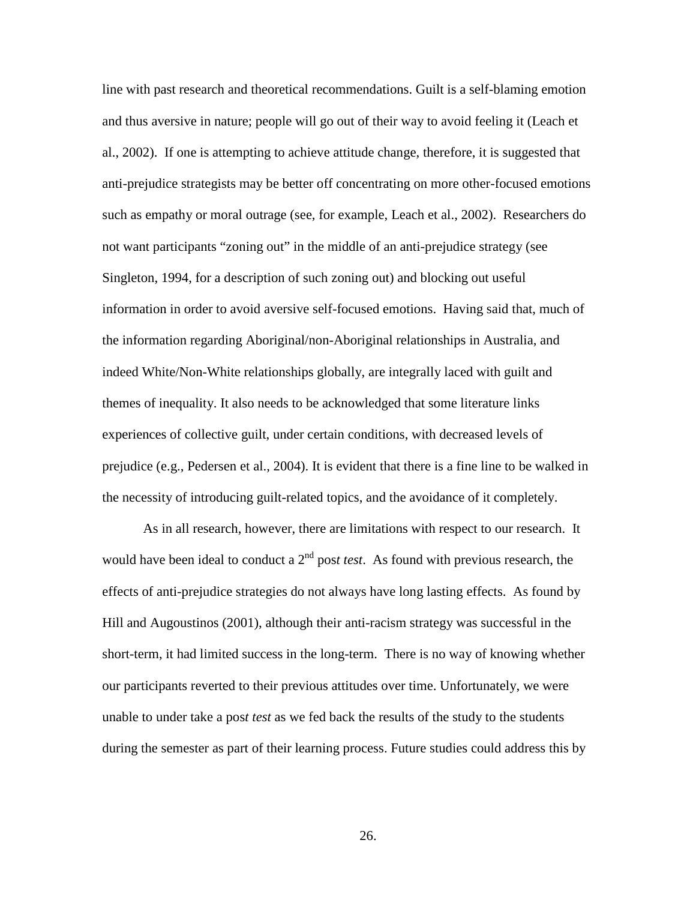line with past research and theoretical recommendations. Guilt is a self-blaming emotion and thus aversive in nature; people will go out of their way to avoid feeling it (Leach et al., 2002). If one is attempting to achieve attitude change, therefore, it is suggested that anti-prejudice strategists may be better off concentrating on more other-focused emotions such as empathy or moral outrage (see, for example, Leach et al., 2002). Researchers do not want participants "zoning out" in the middle of an anti-prejudice strategy (see Singleton, 1994, for a description of such zoning out) and blocking out useful information in order to avoid aversive self-focused emotions. Having said that, much of the information regarding Aboriginal/non-Aboriginal relationships in Australia, and indeed White/Non-White relationships globally, are integrally laced with guilt and themes of inequality. It also needs to be acknowledged that some literature links experiences of collective guilt, under certain conditions, with decreased levels of prejudice (e.g., Pedersen et al., 2004). It is evident that there is a fine line to be walked in the necessity of introducing guilt-related topics, and the avoidance of it completely.

As in all research, however, there are limitations with respect to our research. It would have been ideal to conduct a 2<sup>nd</sup> pos*t test*. As found with previous research, the effects of anti-prejudice strategies do not always have long lasting effects. As found by Hill and Augoustinos (2001), although their anti-racism strategy was successful in the short-term, it had limited success in the long-term. There is no way of knowing whether our participants reverted to their previous attitudes over time. Unfortunately, we were unable to under take a pos*t test* as we fed back the results of the study to the students during the semester as part of their learning process. Future studies could address this by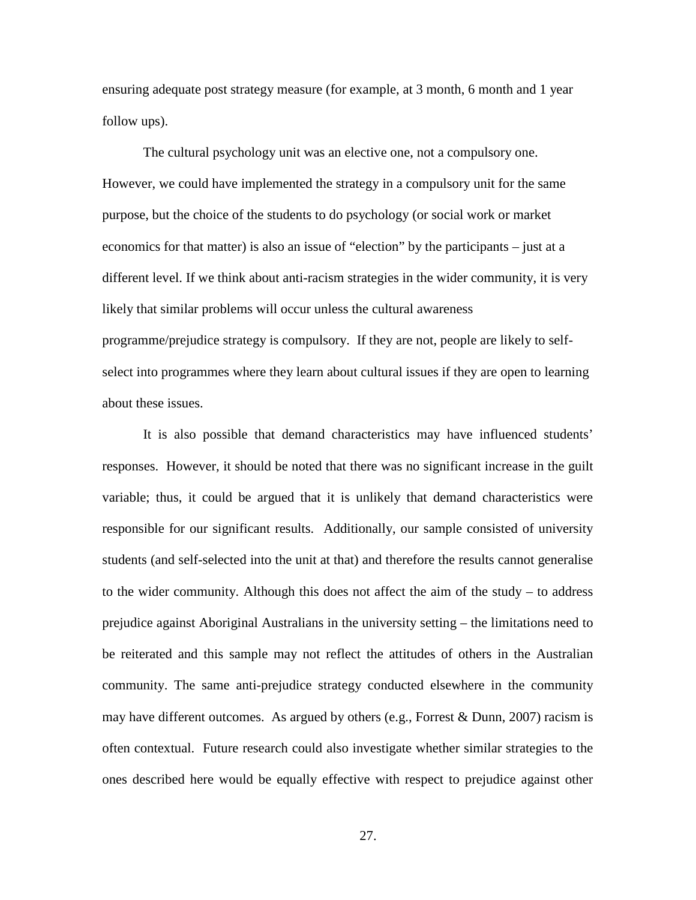ensuring adequate post strategy measure (for example, at 3 month, 6 month and 1 year follow ups).

The cultural psychology unit was an elective one, not a compulsory one. However, we could have implemented the strategy in a compulsory unit for the same purpose, but the choice of the students to do psychology (or social work or market economics for that matter) is also an issue of "election" by the participants – just at a different level. If we think about anti-racism strategies in the wider community, it is very likely that similar problems will occur unless the cultural awareness programme/prejudice strategy is compulsory. If they are not, people are likely to selfselect into programmes where they learn about cultural issues if they are open to learning about these issues.

It is also possible that demand characteristics may have influenced students' responses. However, it should be noted that there was no significant increase in the guilt variable; thus, it could be argued that it is unlikely that demand characteristics were responsible for our significant results. Additionally, our sample consisted of university students (and self-selected into the unit at that) and therefore the results cannot generalise to the wider community. Although this does not affect the aim of the study – to address prejudice against Aboriginal Australians in the university setting – the limitations need to be reiterated and this sample may not reflect the attitudes of others in the Australian community. The same anti-prejudice strategy conducted elsewhere in the community may have different outcomes. As argued by others (e.g., Forrest & Dunn, 2007) racism is often contextual. Future research could also investigate whether similar strategies to the ones described here would be equally effective with respect to prejudice against other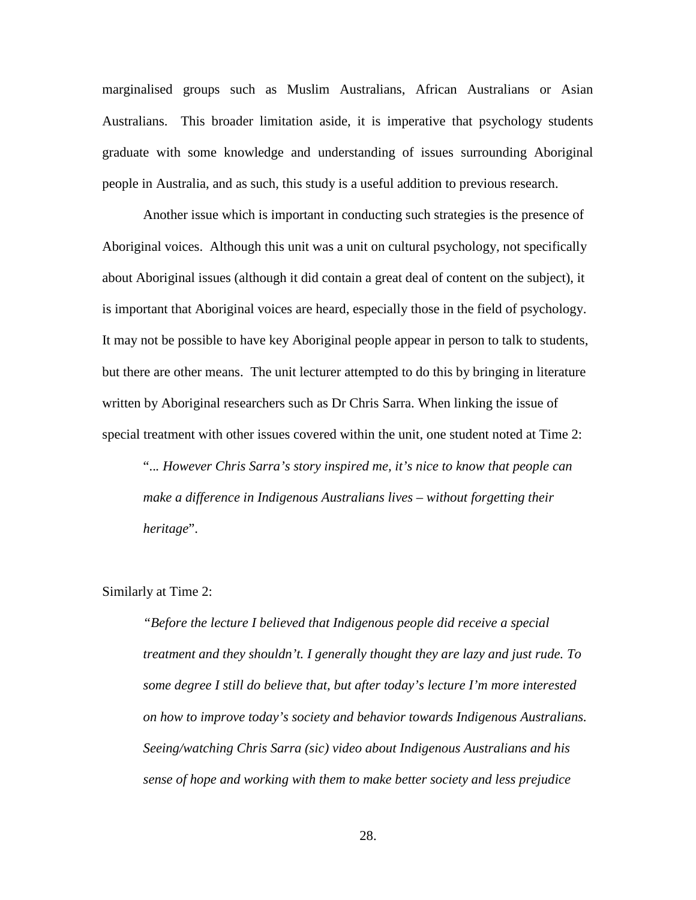marginalised groups such as Muslim Australians, African Australians or Asian Australians. This broader limitation aside, it is imperative that psychology students graduate with some knowledge and understanding of issues surrounding Aboriginal people in Australia, and as such, this study is a useful addition to previous research.

Another issue which is important in conducting such strategies is the presence of Aboriginal voices. Although this unit was a unit on cultural psychology, not specifically about Aboriginal issues (although it did contain a great deal of content on the subject), it is important that Aboriginal voices are heard, especially those in the field of psychology. It may not be possible to have key Aboriginal people appear in person to talk to students, but there are other means. The unit lecturer attempted to do this by bringing in literature written by Aboriginal researchers such as Dr Chris Sarra. When linking the issue of special treatment with other issues covered within the unit, one student noted at Time 2:

"..*. However Chris Sarra's story inspired me, it's nice to know that people can make a difference in Indigenous Australians lives – without forgetting their heritage*".

# Similarly at Time 2:

*"Before the lecture I believed that Indigenous people did receive a special treatment and they shouldn't. I generally thought they are lazy and just rude. To some degree I still do believe that, but after today's lecture I'm more interested on how to improve today's society and behavior towards Indigenous Australians. Seeing/watching Chris Sarra (sic) video about Indigenous Australians and his sense of hope and working with them to make better society and less prejudice*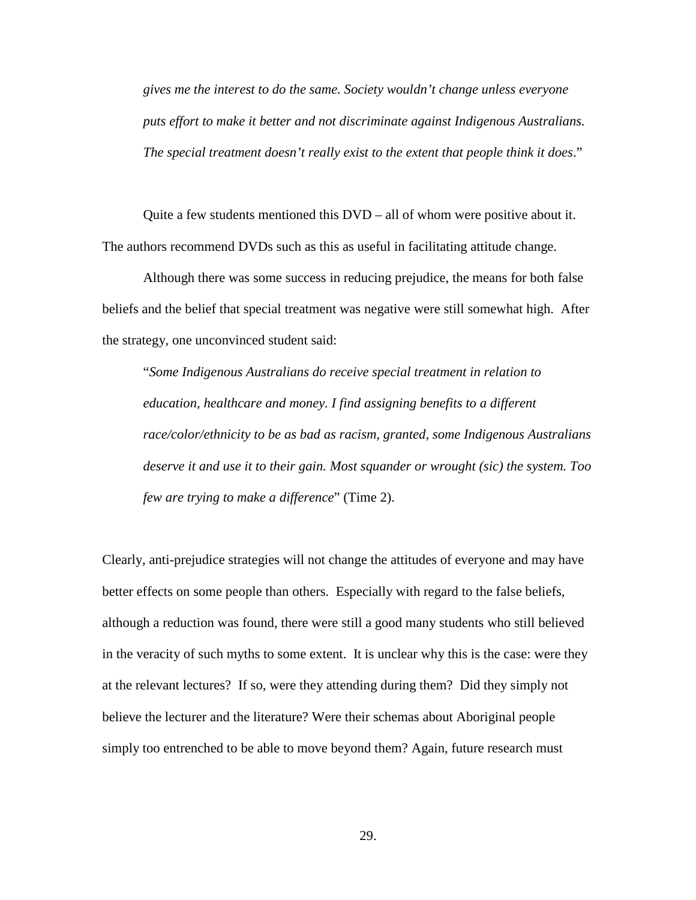*gives me the interest to do the same. Society wouldn't change unless everyone puts effort to make it better and not discriminate against Indigenous Australians. The special treatment doesn't really exist to the extent that people think it does*."

Quite a few students mentioned this DVD – all of whom were positive about it. The authors recommend DVDs such as this as useful in facilitating attitude change.

Although there was some success in reducing prejudice, the means for both false beliefs and the belief that special treatment was negative were still somewhat high. After the strategy, one unconvinced student said:

"*Some Indigenous Australians do receive special treatment in relation to education, healthcare and money. I find assigning benefits to a different race/color/ethnicity to be as bad as racism, granted, some Indigenous Australians deserve it and use it to their gain. Most squander or wrought (sic) the system. Too few are trying to make a difference*" (Time 2).

Clearly, anti-prejudice strategies will not change the attitudes of everyone and may have better effects on some people than others. Especially with regard to the false beliefs, although a reduction was found, there were still a good many students who still believed in the veracity of such myths to some extent. It is unclear why this is the case: were they at the relevant lectures? If so, were they attending during them? Did they simply not believe the lecturer and the literature? Were their schemas about Aboriginal people simply too entrenched to be able to move beyond them? Again, future research must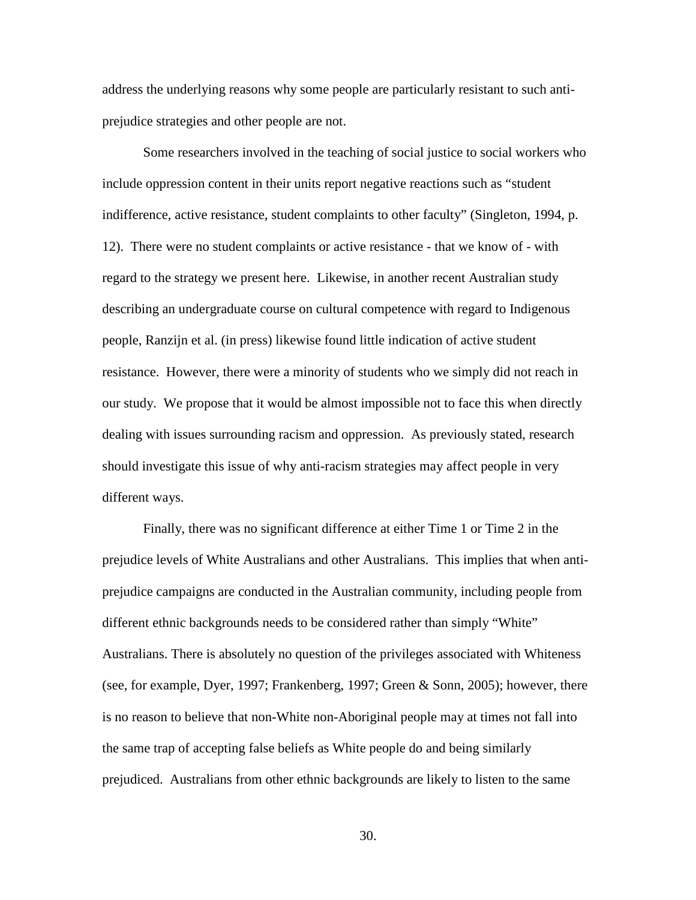address the underlying reasons why some people are particularly resistant to such antiprejudice strategies and other people are not.

Some researchers involved in the teaching of social justice to social workers who include oppression content in their units report negative reactions such as "student indifference, active resistance, student complaints to other faculty" (Singleton, 1994, p. 12). There were no student complaints or active resistance - that we know of - with regard to the strategy we present here. Likewise, in another recent Australian study describing an undergraduate course on cultural competence with regard to Indigenous people, Ranzijn et al. (in press) likewise found little indication of active student resistance. However, there were a minority of students who we simply did not reach in our study. We propose that it would be almost impossible not to face this when directly dealing with issues surrounding racism and oppression. As previously stated, research should investigate this issue of why anti-racism strategies may affect people in very different ways.

Finally, there was no significant difference at either Time 1 or Time 2 in the prejudice levels of White Australians and other Australians. This implies that when antiprejudice campaigns are conducted in the Australian community, including people from different ethnic backgrounds needs to be considered rather than simply "White" Australians. There is absolutely no question of the privileges associated with Whiteness (see, for example, Dyer, 1997; Frankenberg, 1997; Green & Sonn, 2005); however, there is no reason to believe that non-White non-Aboriginal people may at times not fall into the same trap of accepting false beliefs as White people do and being similarly prejudiced. Australians from other ethnic backgrounds are likely to listen to the same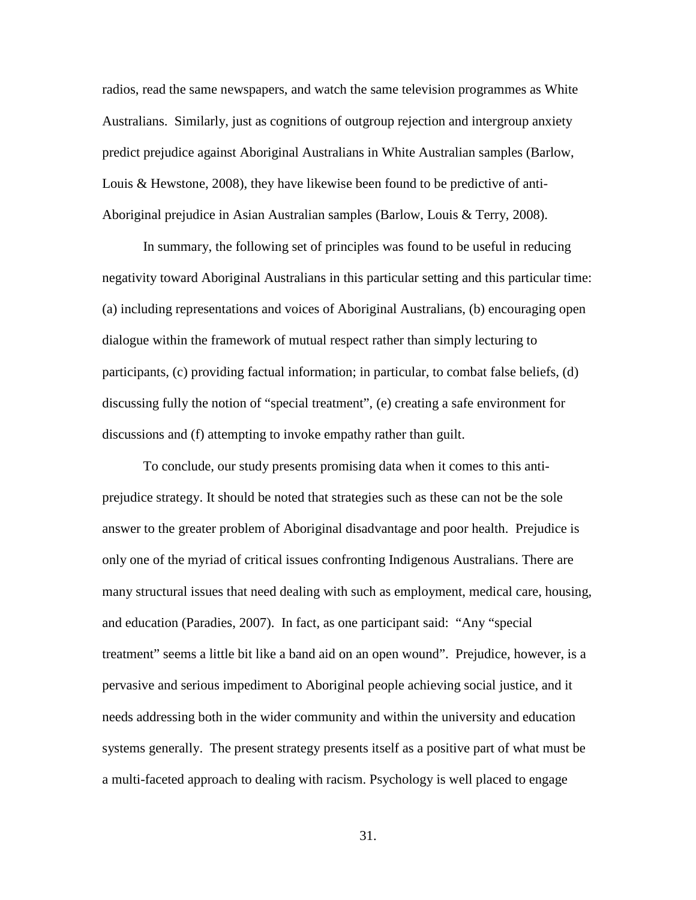radios, read the same newspapers, and watch the same television programmes as White Australians. Similarly, just as cognitions of outgroup rejection and intergroup anxiety predict prejudice against Aboriginal Australians in White Australian samples (Barlow, Louis & Hewstone, 2008), they have likewise been found to be predictive of anti-Aboriginal prejudice in Asian Australian samples (Barlow, Louis & Terry, 2008).

In summary, the following set of principles was found to be useful in reducing negativity toward Aboriginal Australians in this particular setting and this particular time: (a) including representations and voices of Aboriginal Australians, (b) encouraging open dialogue within the framework of mutual respect rather than simply lecturing to participants, (c) providing factual information; in particular, to combat false beliefs, (d) discussing fully the notion of "special treatment", (e) creating a safe environment for discussions and (f) attempting to invoke empathy rather than guilt.

To conclude, our study presents promising data when it comes to this antiprejudice strategy. It should be noted that strategies such as these can not be the sole answer to the greater problem of Aboriginal disadvantage and poor health. Prejudice is only one of the myriad of critical issues confronting Indigenous Australians. There are many structural issues that need dealing with such as employment, medical care, housing, and education (Paradies, 2007). In fact, as one participant said: "Any "special treatment" seems a little bit like a band aid on an open wound". Prejudice, however, is a pervasive and serious impediment to Aboriginal people achieving social justice, and it needs addressing both in the wider community and within the university and education systems generally. The present strategy presents itself as a positive part of what must be a multi-faceted approach to dealing with racism. Psychology is well placed to engage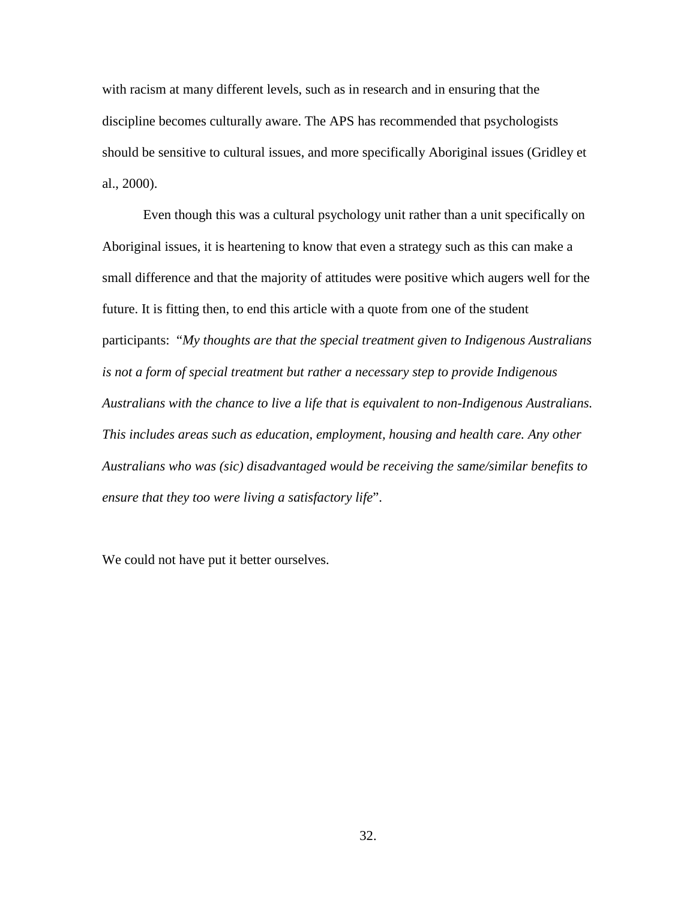with racism at many different levels, such as in research and in ensuring that the discipline becomes culturally aware. The APS has recommended that psychologists should be sensitive to cultural issues, and more specifically Aboriginal issues (Gridley et al., 2000).

Even though this was a cultural psychology unit rather than a unit specifically on Aboriginal issues, it is heartening to know that even a strategy such as this can make a small difference and that the majority of attitudes were positive which augers well for the future. It is fitting then, to end this article with a quote from one of the student participants: "*My thoughts are that the special treatment given to Indigenous Australians is not a form of special treatment but rather a necessary step to provide Indigenous Australians with the chance to live a life that is equivalent to non-Indigenous Australians. This includes areas such as education, employment, housing and health care. Any other Australians who was (sic) disadvantaged would be receiving the same/similar benefits to ensure that they too were living a satisfactory life*".

We could not have put it better ourselves.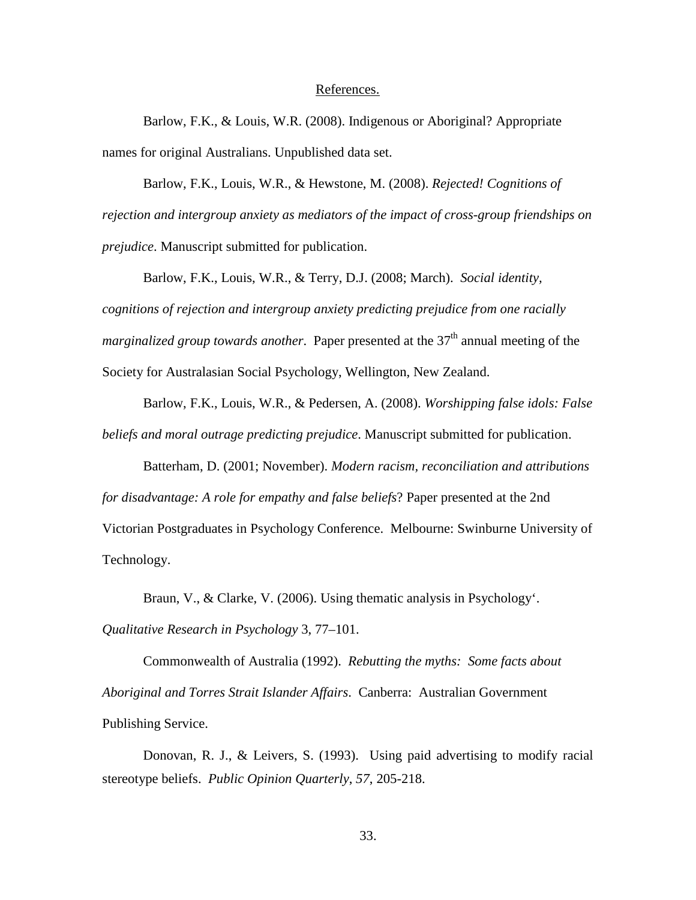#### References.

Barlow, F.K., & Louis, W.R. (2008). Indigenous or Aboriginal? Appropriate names for original Australians. Unpublished data set.

Barlow, F.K., Louis, W.R., & Hewstone, M. (2008). *Rejected! Cognitions of rejection and intergroup anxiety as mediators of the impact of cross-group friendships on prejudice*. Manuscript submitted for publication.

Barlow, F.K., Louis, W.R., & Terry, D.J. (2008; March). *Social identity, cognitions of rejection and intergroup anxiety predicting prejudice from one racially marginalized group towards another.* Paper presented at the 37<sup>th</sup> annual meeting of the Society for Australasian Social Psychology, Wellington, New Zealand.

Barlow, F.K., Louis, W.R., & Pedersen, A. (2008). *Worshipping false idols: False beliefs and moral outrage predicting prejudice*. Manuscript submitted for publication.

Batterham, D. (2001; November). *Modern racism, reconciliation and attributions for disadvantage: A role for empathy and false beliefs*? Paper presented at the 2nd Victorian Postgraduates in Psychology Conference. Melbourne: Swinburne University of Technology.

Braun, V., & Clarke, V. (2006). Using thematic analysis in Psychology'. *Qualitative Research in Psychology* 3, 77–101.

Commonwealth of Australia (1992). *Rebutting the myths: Some facts about Aboriginal and Torres Strait Islander Affairs*. Canberra: Australian Government Publishing Service.

Donovan, R. J., & Leivers, S. (1993). Using paid advertising to modify racial stereotype beliefs. *Public Opinion Quarterly*, *57*, 205-218.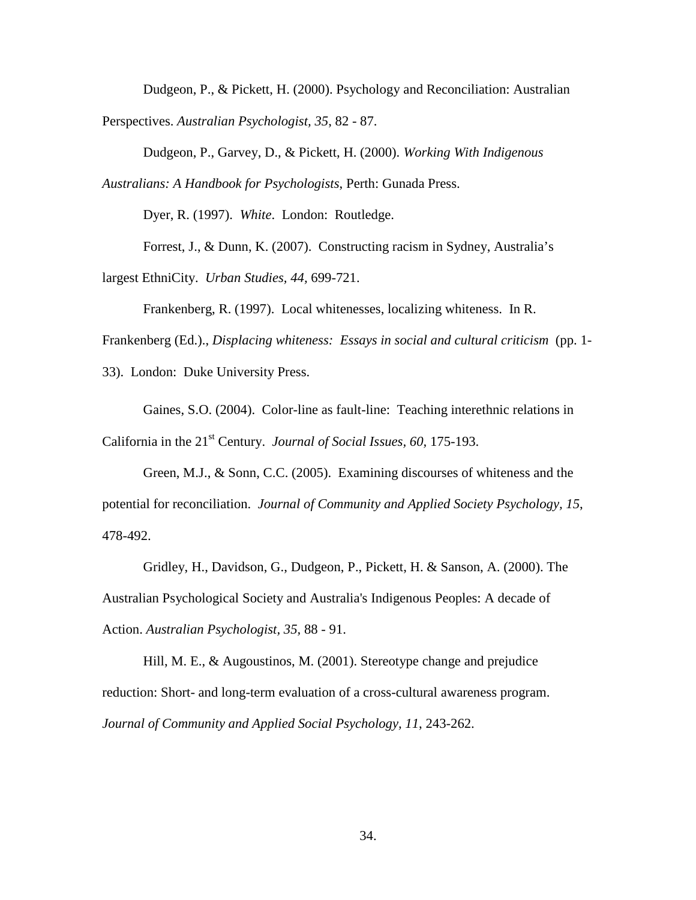Dudgeon, P., & Pickett, H. (2000). Psychology and Reconciliation: Australian Perspectives. *Australian Psychologist, 35*, 82 - 87.

Dudgeon, P., Garvey, D., & Pickett, H. (2000). *Working With Indigenous Australians: A Handbook for Psychologists*, Perth: Gunada Press.

Dyer, R. (1997). *White*. London: Routledge.

Forrest, J., & Dunn, K. (2007). Constructing racism in Sydney, Australia's largest EthniCity. *Urban Studies, 44,* 699-721.

Frankenberg, R. (1997). Local whitenesses, localizing whiteness. In R.

Frankenberg (Ed.)., *Displacing whiteness: Essays in social and cultural criticism* (pp. 1-

33). London: Duke University Press.

Gaines, S.O. (2004). Color-line as fault-line: Teaching interethnic relations in California in the 21<sup>st</sup> Century. *Journal of Social Issues, 60, 175-193.* 

Green, M.J., & Sonn, C.C. (2005). Examining discourses of whiteness and the potential for reconciliation. *Journal of Community and Applied Society Psychology, 15*, 478-492.

Gridley, H., Davidson, G., Dudgeon, P., Pickett, H. & Sanson, A. (2000). The Australian Psychological Society and Australia's Indigenous Peoples: A decade of Action. *Australian Psychologist, 35,* 88 - 91.

Hill, M. E., & Augoustinos, M. (2001). Stereotype change and prejudice reduction: Short- and long-term evaluation of a cross-cultural awareness program. *Journal of Community and Applied Social Psychology, 11*, 243-262.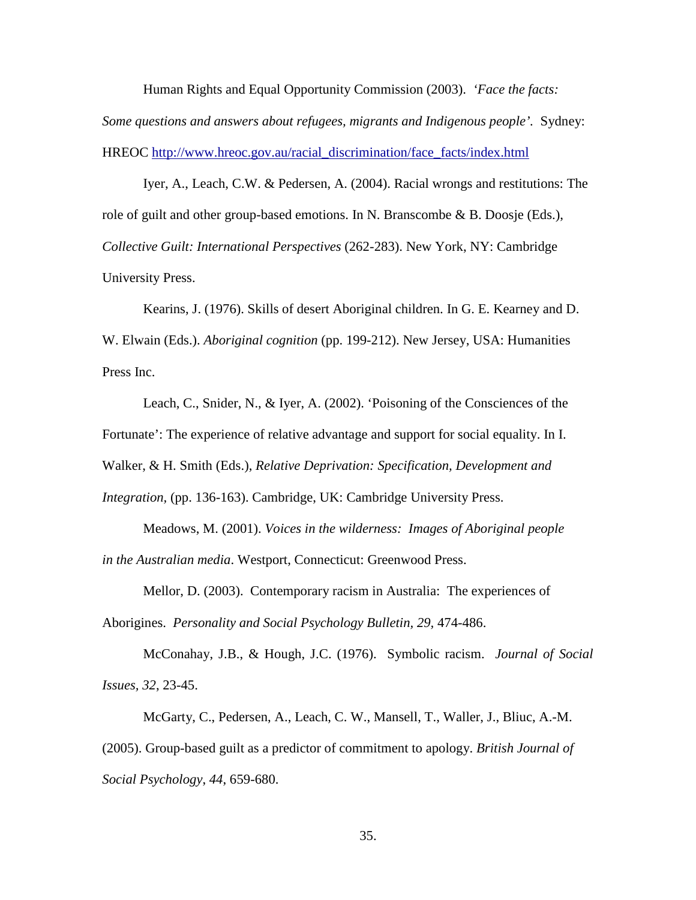Human Rights and Equal Opportunity Commission (2003). *'Face the facts: Some questions and answers about refugees, migrants and Indigenous people'.* Sydney: HREOC [http://www.hreoc.gov.au/racial\\_discrimination/face\\_facts/index.html](http://www.hreoc.gov.au/racial_discrimination/face_facts/index.html)

Iyer, A., Leach, C.W. & Pedersen, A. (2004). Racial wrongs and restitutions: The role of guilt and other group-based emotions. In N. Branscombe & B. Doosje (Eds.), *Collective Guilt: International Perspectives* (262-283). New York, NY: Cambridge University Press.

Kearins, J. (1976). Skills of desert Aboriginal children. In G. E. Kearney and D. W. Elwain (Eds.). *Aboriginal cognition* (pp. 199-212). New Jersey, USA: Humanities Press Inc.

Leach, C., Snider, N., & Iyer, A. (2002). 'Poisoning of the Consciences of the Fortunate': The experience of relative advantage and support for social equality. In I. Walker, & H. Smith (Eds.), *Relative Deprivation: Specification, Development and Integration,* (pp. 136-163). Cambridge, UK: Cambridge University Press.

Meadows, M. (2001). *Voices in the wilderness: Images of Aboriginal people in the Australian media*. Westport, Connecticut: Greenwood Press.

Mellor, D. (2003). Contemporary racism in Australia: The experiences of Aborigines. *Personality and Social Psychology Bulletin, 29,* 474-486.

McConahay, J.B., & Hough, J.C. (1976). Symbolic racism. *Journal of Social Issues, 32*, 23-45.

McGarty, C., Pedersen, A., Leach, C. W., Mansell, T., Waller, J., Bliuc, A.-M. (2005). Group-based guilt as a predictor of commitment to apology. *British Journal of Social Psychology*, *44*, 659-680.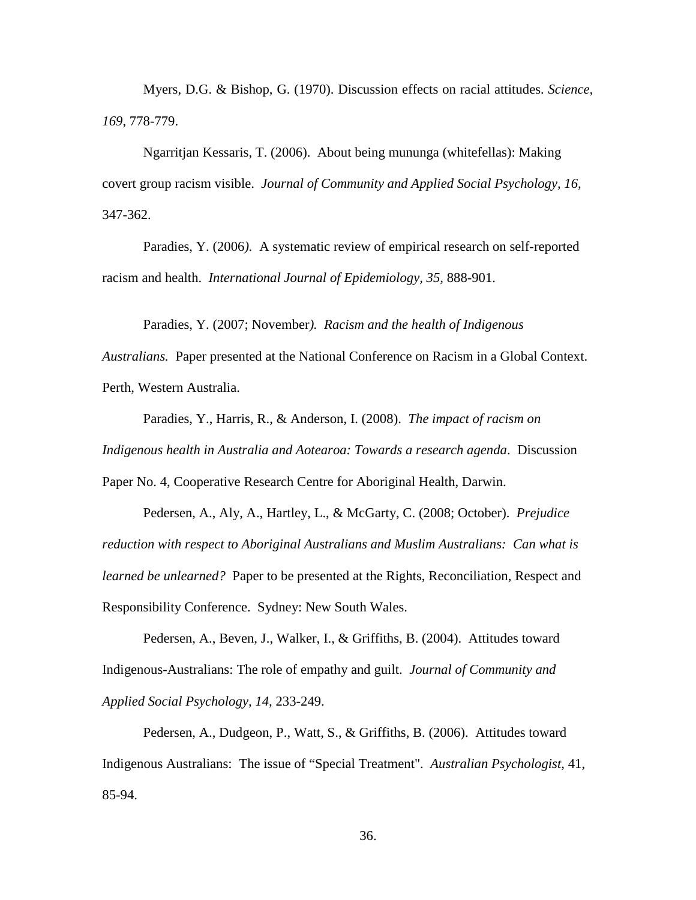Myers, D.G. & Bishop, G. (1970). Discussion effects on racial attitudes. *Science, 169*, 778-779.

Ngarritjan Kessaris, T. (2006). About being mununga (whitefellas): Making covert group racism visible. *Journal of Community and Applied Social Psychology, 16,* 347-362.

Paradies, Y. (2006*).* A systematic review of empirical research on self-reported racism and health. *International Journal of Epidemiology, 35,* 888-901.

Paradies, Y. (2007; November*). Racism and the health of Indigenous* 

*Australians.* Paper presented at the National Conference on Racism in a Global Context. Perth, Western Australia.

Paradies, Y., Harris, R., & Anderson, I. (2008). *The impact of racism on Indigenous health in Australia and Aotearoa: Towards a research agenda*. Discussion Paper No. 4, Cooperative Research Centre for Aboriginal Health, Darwin.

Pedersen, A., Aly, A., Hartley, L., & McGarty, C. (2008; October). *Prejudice reduction with respect to Aboriginal Australians and Muslim Australians: Can what is learned be unlearned?* Paper to be presented at the Rights, Reconciliation, Respect and Responsibility Conference. Sydney: New South Wales.

Pedersen, A., Beven, J., Walker, I., & Griffiths, B. (2004). Attitudes toward Indigenous-Australians: The role of empathy and guilt. *Journal of Community and Applied Social Psychology, 14,* 233-249.

Pedersen, A., Dudgeon, P., Watt, S., & Griffiths, B. (2006). Attitudes toward Indigenous Australians: The issue of "Special Treatment". *Australian Psychologist*, 41, 85-94.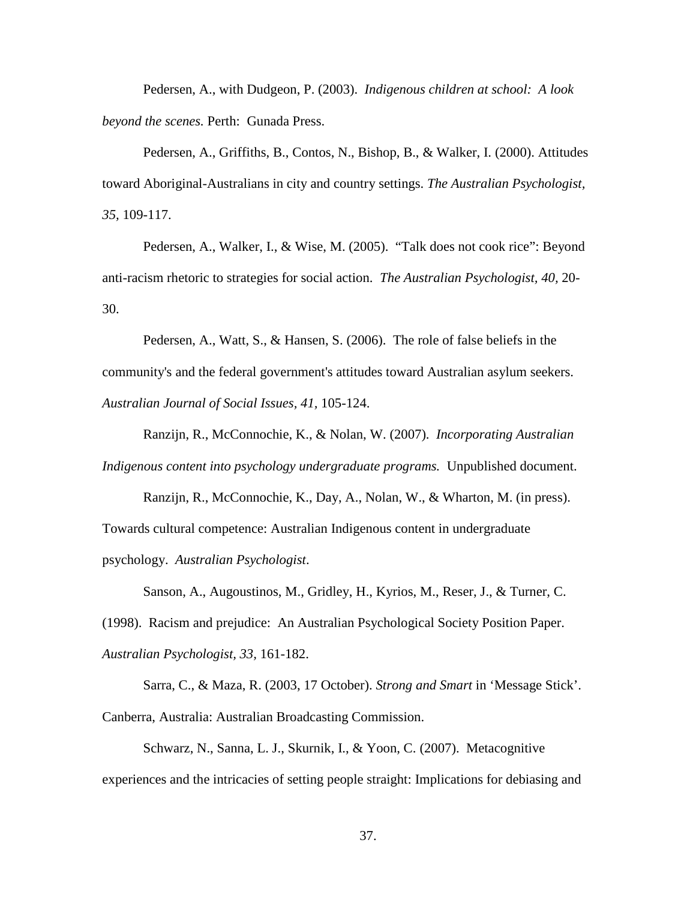Pedersen, A., with Dudgeon, P. (2003). *Indigenous children at school: A look beyond the scenes.* Perth: Gunada Press.

Pedersen, A., Griffiths, B., Contos, N., Bishop, B., & Walker, I. (2000). Attitudes toward Aboriginal-Australians in city and country settings. *The Australian Psychologist, 35,* 109-117.

Pedersen, A., Walker, I., & Wise, M. (2005). "Talk does not cook rice": Beyond anti-racism rhetoric to strategies for social action. *The Australian Psychologist, 40,* 20- 30.

Pedersen, A., Watt, S., & Hansen, S. (2006). The role of false beliefs in the community's and the federal government's attitudes toward Australian asylum seekers. *Australian Journal of Social Issues, 41,* 105-124.

Ranzijn, R., McConnochie, K., & Nolan, W. (2007). *Incorporating Australian Indigenous content into psychology undergraduate programs.* Unpublished document.

Ranzijn, R., McConnochie, K., Day, A., Nolan, W., & Wharton, M. (in press). Towards cultural competence: Australian Indigenous content in undergraduate psychology. *Australian Psychologist*.

Sanson, A., Augoustinos, M., Gridley, H., Kyrios, M., Reser, J., & Turner, C. (1998). Racism and prejudice: An Australian Psychological Society Position Paper. *Australian Psychologist, 33,* 161-182.

Sarra, C., & Maza, R. (2003, 17 October). *Strong and Smart* in 'Message Stick'. Canberra, Australia: Australian Broadcasting Commission.

Schwarz, N., Sanna, L. J., Skurnik, I., & Yoon, C. (2007). Metacognitive experiences and the intricacies of setting people straight: Implications for debiasing and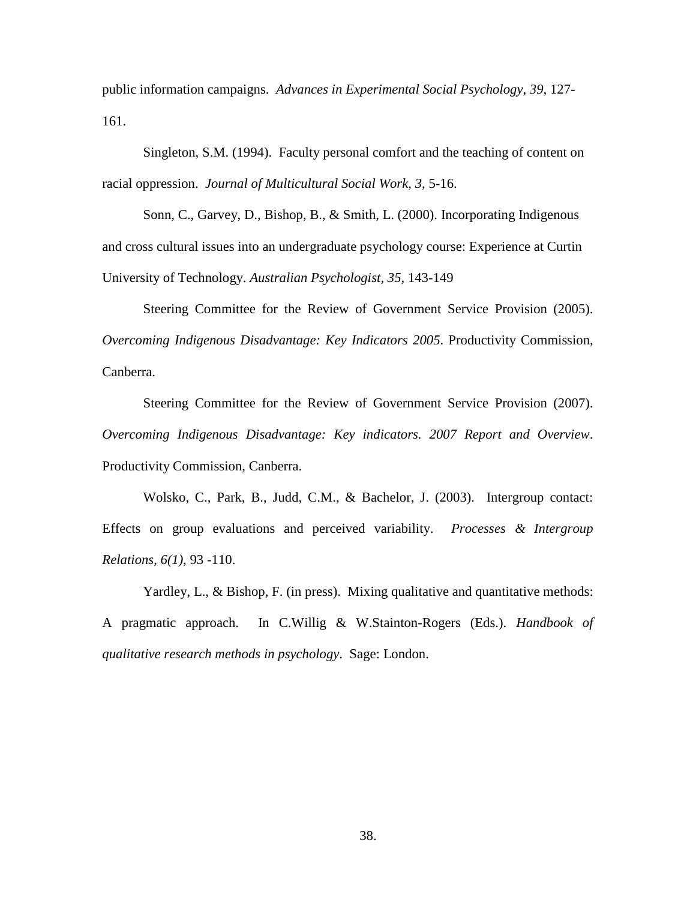public information campaigns. *Advances in Experimental Social Psychology, 39,* 127- 161.

Singleton, S.M. (1994). Faculty personal comfort and the teaching of content on racial oppression. *Journal of Multicultural Social Work, 3,* 5-16.

Sonn, C., Garvey, D., Bishop, B., & Smith, L. (2000). Incorporating Indigenous and cross cultural issues into an undergraduate psychology course: Experience at Curtin University of Technology. *Australian Psychologist, 35,* 143-149

Steering Committee for the Review of Government Service Provision (2005). *Overcoming Indigenous Disadvantage: Key Indicators 2005*. Productivity Commission, Canberra.

Steering Committee for the Review of Government Service Provision (2007). *Overcoming Indigenous Disadvantage: Key indicators. 2007 Report and Overview*. Productivity Commission, Canberra.

Wolsko, C., Park, B., Judd, C.M., & Bachelor, J. (2003). Intergroup contact: Effects on group evaluations and perceived variability. *Processes & Intergroup Relations, 6(1)*, 93 -110.

Yardley, L., & Bishop, F. (in press). Mixing qualitative and quantitative methods: A pragmatic approach. In C.Willig & W.Stainton-Rogers (Eds.). *Handbook of qualitative research methods in psychology*. Sage: London.